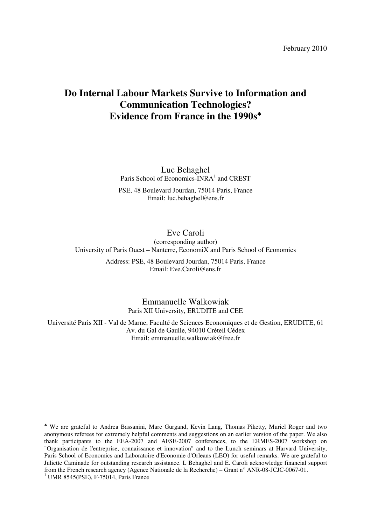February 2010

# **Do Internal Labour Markets Survive to Information and Communication Technologies? Evidence from France in the 1990s**♣

Luc Behaghel Paris School of Economics-INRA<sup>1</sup> and CREST

PSE, 48 Boulevard Jourdan, 75014 Paris, France Email: luc.behaghel@ens.fr

# Eve Caroli

(corresponding author) University of Paris Ouest – Nanterre, EconomiX and Paris School of Economics

> Address: PSE, 48 Boulevard Jourdan, 75014 Paris, France Email: Eve.Caroli@ens.fr

> > Emmanuelle Walkowiak Paris XII University, ERUDITE and CEE

Université Paris XII - Val de Marne, Faculté de Sciences Economiques et de Gestion, ERUDITE, 61 Av. du Gal de Gaulle, 94010 Créteil Cédex Email: emmanuelle.walkowiak@free.fr

 $\overline{a}$ 

<sup>♣</sup> We are grateful to Andrea Bassanini, Marc Gurgand, Kevin Lang, Thomas Piketty, Muriel Roger and two anonymous referees for extremely helpful comments and suggestions on an earlier version of the paper. We also thank participants to the EEA-2007 and AFSE-2007 conferences, to the ERMES-2007 workshop on "Organisation de l'entreprise, connaissance et innovation" and to the Lunch seminars at Harvard University, Paris School of Economics and Laboratoire d'Economie d'Orleans (LEO) for useful remarks. We are grateful to Juliette Caminade for outstanding research assistance. L Behaghel and E. Caroli acknowledge financial support from the French research agency (Agence Nationale de la Recherche) – Grant n° ANR-08-JCJC-0067-01. 1 UMR 8545(PSE), F-75014, Paris France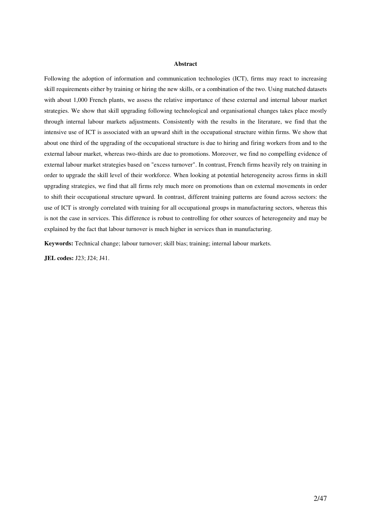#### **Abstract**

Following the adoption of information and communication technologies (ICT), firms may react to increasing skill requirements either by training or hiring the new skills, or a combination of the two. Using matched datasets with about 1,000 French plants, we assess the relative importance of these external and internal labour market strategies. We show that skill upgrading following technological and organisational changes takes place mostly through internal labour markets adjustments. Consistently with the results in the literature, we find that the intensive use of ICT is associated with an upward shift in the occupational structure within firms. We show that about one third of the upgrading of the occupational structure is due to hiring and firing workers from and to the external labour market, whereas two-thirds are due to promotions. Moreover, we find no compelling evidence of external labour market strategies based on "excess turnover". In contrast, French firms heavily rely on training in order to upgrade the skill level of their workforce. When looking at potential heterogeneity across firms in skill upgrading strategies, we find that all firms rely much more on promotions than on external movements in order to shift their occupational structure upward. In contrast, different training patterns are found across sectors: the use of ICT is strongly correlated with training for all occupational groups in manufacturing sectors, whereas this is not the case in services. This difference is robust to controlling for other sources of heterogeneity and may be explained by the fact that labour turnover is much higher in services than in manufacturing.

**Keywords:** Technical change; labour turnover; skill bias; training; internal labour markets.

**JEL codes:** J23; J24; J41.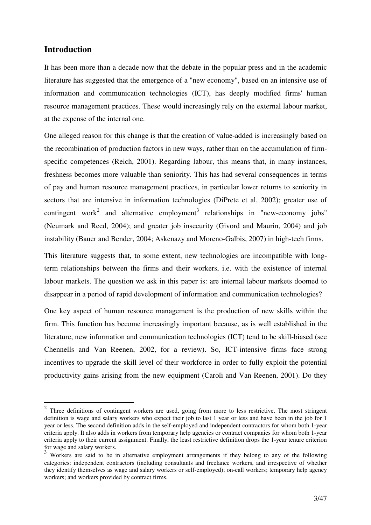# **Introduction**

 $\overline{a}$ 

It has been more than a decade now that the debate in the popular press and in the academic literature has suggested that the emergence of a "new economy", based on an intensive use of information and communication technologies (ICT), has deeply modified firms' human resource management practices. These would increasingly rely on the external labour market, at the expense of the internal one.

One alleged reason for this change is that the creation of value-added is increasingly based on the recombination of production factors in new ways, rather than on the accumulation of firmspecific competences (Reich, 2001). Regarding labour, this means that, in many instances, freshness becomes more valuable than seniority. This has had several consequences in terms of pay and human resource management practices, in particular lower returns to seniority in sectors that are intensive in information technologies (DiPrete et al, 2002); greater use of contingent work<sup>2</sup> and alternative employment<sup>3</sup> relationships in "new-economy jobs" (Neumark and Reed, 2004); and greater job insecurity (Givord and Maurin, 2004) and job instability (Bauer and Bender, 2004; Askenazy and Moreno-Galbis, 2007) in high-tech firms.

This literature suggests that, to some extent, new technologies are incompatible with longterm relationships between the firms and their workers, i.e. with the existence of internal labour markets. The question we ask in this paper is: are internal labour markets doomed to disappear in a period of rapid development of information and communication technologies?

One key aspect of human resource management is the production of new skills within the firm. This function has become increasingly important because, as is well established in the literature, new information and communication technologies (ICT) tend to be skill-biased (see Chennells and Van Reenen, 2002, for a review). So, ICT-intensive firms face strong incentives to upgrade the skill level of their workforce in order to fully exploit the potential productivity gains arising from the new equipment (Caroli and Van Reenen, 2001). Do they

 $2$  Three definitions of contingent workers are used, going from more to less restrictive. The most stringent definition is wage and salary workers who expect their job to last 1 year or less and have been in the job for 1 year or less. The second definition adds in the self-employed and independent contractors for whom both 1-year criteria apply. It also adds in workers from temporary help agencies or contract companies for whom both 1-year criteria apply to their current assignment. Finally, the least restrictive definition drops the 1-year tenure criterion for wage and salary workers.

<sup>&</sup>lt;sup>3</sup> Workers are said to be in alternative employment arrangements if they belong to any of the following categories: independent contractors (including consultants and freelance workers, and irrespective of whether they identify themselves as wage and salary workers or self-employed); on-call workers; temporary help agency workers; and workers provided by contract firms.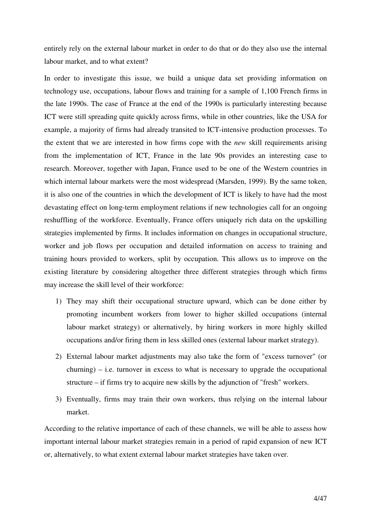entirely rely on the external labour market in order to do that or do they also use the internal labour market, and to what extent?

In order to investigate this issue, we build a unique data set providing information on technology use, occupations, labour flows and training for a sample of 1,100 French firms in the late 1990s. The case of France at the end of the 1990s is particularly interesting because ICT were still spreading quite quickly across firms, while in other countries, like the USA for example, a majority of firms had already transited to ICT-intensive production processes. To the extent that we are interested in how firms cope with the *new* skill requirements arising from the implementation of ICT, France in the late 90s provides an interesting case to research. Moreover, together with Japan, France used to be one of the Western countries in which internal labour markets were the most widespread (Marsden, 1999). By the same token, it is also one of the countries in which the development of ICT is likely to have had the most devastating effect on long-term employment relations if new technologies call for an ongoing reshuffling of the workforce. Eventually, France offers uniquely rich data on the upskilling strategies implemented by firms. It includes information on changes in occupational structure, worker and job flows per occupation and detailed information on access to training and training hours provided to workers, split by occupation. This allows us to improve on the existing literature by considering altogether three different strategies through which firms may increase the skill level of their workforce:

- 1) They may shift their occupational structure upward, which can be done either by promoting incumbent workers from lower to higher skilled occupations (internal labour market strategy) or alternatively, by hiring workers in more highly skilled occupations and/or firing them in less skilled ones (external labour market strategy).
- 2) External labour market adjustments may also take the form of "excess turnover" (or  $churning$ ) – i.e. turnover in excess to what is necessary to upgrade the occupational structure – if firms try to acquire new skills by the adjunction of "fresh" workers.
- 3) Eventually, firms may train their own workers, thus relying on the internal labour market.

According to the relative importance of each of these channels, we will be able to assess how important internal labour market strategies remain in a period of rapid expansion of new ICT or, alternatively, to what extent external labour market strategies have taken over.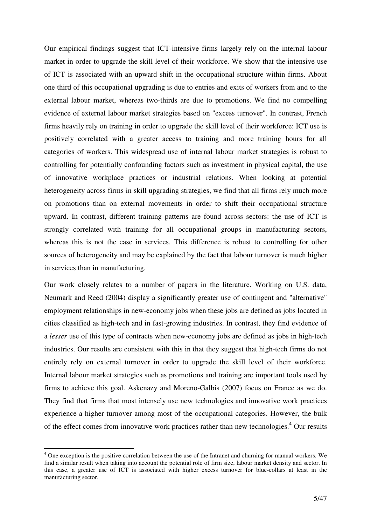Our empirical findings suggest that ICT-intensive firms largely rely on the internal labour market in order to upgrade the skill level of their workforce. We show that the intensive use of ICT is associated with an upward shift in the occupational structure within firms. About one third of this occupational upgrading is due to entries and exits of workers from and to the external labour market, whereas two-thirds are due to promotions. We find no compelling evidence of external labour market strategies based on "excess turnover". In contrast, French firms heavily rely on training in order to upgrade the skill level of their workforce: ICT use is positively correlated with a greater access to training and more training hours for all categories of workers. This widespread use of internal labour market strategies is robust to controlling for potentially confounding factors such as investment in physical capital, the use of innovative workplace practices or industrial relations. When looking at potential heterogeneity across firms in skill upgrading strategies, we find that all firms rely much more on promotions than on external movements in order to shift their occupational structure upward. In contrast, different training patterns are found across sectors: the use of ICT is strongly correlated with training for all occupational groups in manufacturing sectors, whereas this is not the case in services. This difference is robust to controlling for other sources of heterogeneity and may be explained by the fact that labour turnover is much higher in services than in manufacturing.

Our work closely relates to a number of papers in the literature. Working on U.S. data, Neumark and Reed (2004) display a significantly greater use of contingent and "alternative" employment relationships in new-economy jobs when these jobs are defined as jobs located in cities classified as high-tech and in fast-growing industries. In contrast, they find evidence of a *lesser* use of this type of contracts when new-economy jobs are defined as jobs in high-tech industries. Our results are consistent with this in that they suggest that high-tech firms do not entirely rely on external turnover in order to upgrade the skill level of their workforce. Internal labour market strategies such as promotions and training are important tools used by firms to achieve this goal. Askenazy and Moreno-Galbis (2007) focus on France as we do. They find that firms that most intensely use new technologies and innovative work practices experience a higher turnover among most of the occupational categories. However, the bulk of the effect comes from innovative work practices rather than new technologies.<sup>4</sup> Our results

 $\overline{a}$ 

<sup>&</sup>lt;sup>4</sup> One exception is the positive correlation between the use of the Intranet and churning for manual workers. We find a similar result when taking into account the potential role of firm size, labour market density and sector. In this case, a greater use of ICT is associated with higher excess turnover for blue-collars at least in the manufacturing sector.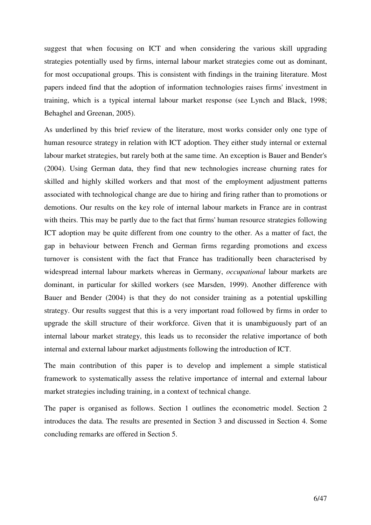suggest that when focusing on ICT and when considering the various skill upgrading strategies potentially used by firms, internal labour market strategies come out as dominant, for most occupational groups. This is consistent with findings in the training literature. Most papers indeed find that the adoption of information technologies raises firms' investment in training, which is a typical internal labour market response (see Lynch and Black, 1998; Behaghel and Greenan, 2005).

As underlined by this brief review of the literature, most works consider only one type of human resource strategy in relation with ICT adoption. They either study internal or external labour market strategies, but rarely both at the same time. An exception is Bauer and Bender's (2004). Using German data, they find that new technologies increase churning rates for skilled and highly skilled workers and that most of the employment adjustment patterns associated with technological change are due to hiring and firing rather than to promotions or demotions. Our results on the key role of internal labour markets in France are in contrast with theirs. This may be partly due to the fact that firms' human resource strategies following ICT adoption may be quite different from one country to the other. As a matter of fact, the gap in behaviour between French and German firms regarding promotions and excess turnover is consistent with the fact that France has traditionally been characterised by widespread internal labour markets whereas in Germany, *occupational* labour markets are dominant, in particular for skilled workers (see Marsden, 1999). Another difference with Bauer and Bender (2004) is that they do not consider training as a potential upskilling strategy. Our results suggest that this is a very important road followed by firms in order to upgrade the skill structure of their workforce. Given that it is unambiguously part of an internal labour market strategy, this leads us to reconsider the relative importance of both internal and external labour market adjustments following the introduction of ICT.

The main contribution of this paper is to develop and implement a simple statistical framework to systematically assess the relative importance of internal and external labour market strategies including training, in a context of technical change.

The paper is organised as follows. Section 1 outlines the econometric model. Section 2 introduces the data. The results are presented in Section 3 and discussed in Section 4. Some concluding remarks are offered in Section 5.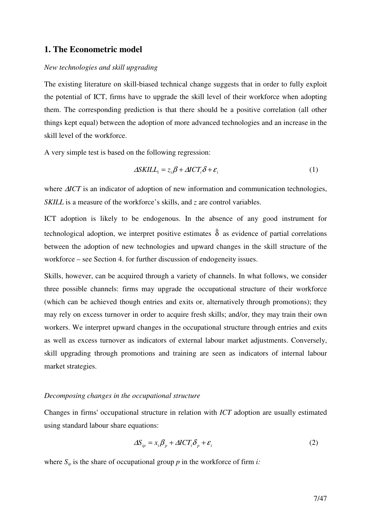# **1. The Econometric model**

## *New technologies and skill upgrading*

The existing literature on skill-biased technical change suggests that in order to fully exploit the potential of ICT, firms have to upgrade the skill level of their workforce when adopting them. The corresponding prediction is that there should be a positive correlation (all other things kept equal) between the adoption of more advanced technologies and an increase in the skill level of the workforce.

A very simple test is based on the following regression:

$$
\Delta SKILL_i = z_i \beta + \Delta ICT_i \delta + \varepsilon_i \tag{1}
$$

where ∆*ICT* is an indicator of adoption of new information and communication technologies, *SKILL* is a measure of the workforce's skills, and *z* are control variables.

ICT adoption is likely to be endogenous. In the absence of any good instrument for technological adoption, we interpret positive estimates  $\hat{\delta}$  as evidence of partial correlations between the adoption of new technologies and upward changes in the skill structure of the workforce – see Section 4. for further discussion of endogeneity issues.

Skills, however, can be acquired through a variety of channels. In what follows, we consider three possible channels: firms may upgrade the occupational structure of their workforce (which can be achieved though entries and exits or, alternatively through promotions); they may rely on excess turnover in order to acquire fresh skills; and/or, they may train their own workers. We interpret upward changes in the occupational structure through entries and exits as well as excess turnover as indicators of external labour market adjustments. Conversely, skill upgrading through promotions and training are seen as indicators of internal labour market strategies.

### *Decomposing changes in the occupational structure*

Changes in firms' occupational structure in relation with *ICT* adoption are usually estimated using standard labour share equations:

$$
\Delta S_{ip} = x_i \beta_p + \Delta I C T_i \delta_p + \varepsilon_i \tag{2}
$$

where  $S_{ip}$  is the share of occupational group *p* in the workforce of firm *i*: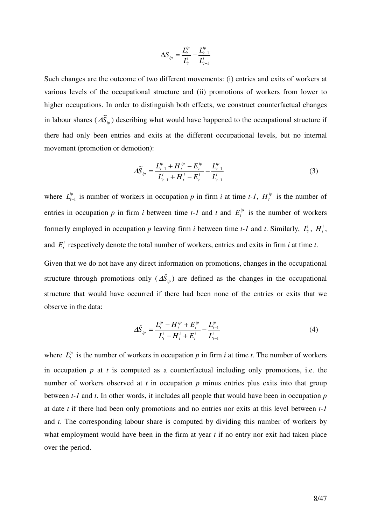$$
\Delta S_{ip} = \frac{L_t^{ip}}{L_t^i} - \frac{L_{t-1}^{ip}}{L_{t-1}^i}
$$

Such changes are the outcome of two different movements: (i) entries and exits of workers at various levels of the occupational structure and (ii) promotions of workers from lower to higher occupations. In order to distinguish both effects, we construct counterfactual changes in labour shares ( $\Delta \tilde{S}_{ip}$ ) describing what would have happened to the occupational structure if there had only been entries and exits at the different occupational levels, but no internal movement (promotion or demotion):

$$
\Delta \widetilde{S}_{ip} = \frac{L_{t-1}^{ip} + H_t^{ip} - E_t^{ip}}{L_{t-1}^i + H_t^i - E_t^i} - \frac{L_{t-1}^{ip}}{L_{t-1}^i}
$$
(3)

where  $L_{t-1}^{ip}$  is number of workers in occupation p in firm *i* at time *t-1*,  $H_t^{ip}$  is the number of entries in occupation *p* in firm *i* between time *t*-*l* and *t* and  $E_t^{\text{ip}}$  is the number of workers formerly employed in occupation p leaving firm *i* between time *t*-1 and *t*. Similarly,  $L_t^i$ ,  $H_t^i$ , and  $E_t^i$  respectively denote the total number of workers, entries and exits in firm *i* at time *t*.

Given that we do not have any direct information on promotions, changes in the occupational structure through promotions only  $(\hat{\Delta}_{ip}^{\hat{S}})$  are defined as the changes in the occupational structure that would have occurred if there had been none of the entries or exits that we observe in the data:

$$
\Delta \hat{S}_{ip} = \frac{L_t^{ip} - H_t^{ip} + E_t^{ip}}{L_t^i - H_t^i + E_t^i} - \frac{L_{t-1}^{ip}}{L_{t-1}^i}
$$
(4)

where  $L_t^{ip}$  is the number of workers in occupation p in firm *i* at time *t*. The number of workers in occupation *p* at *t* is computed as a counterfactual including only promotions, i.e. the number of workers observed at *t* in occupation *p* minus entries plus exits into that group between *t-1* and *t*. In other words, it includes all people that would have been in occupation *p* at date *t* if there had been only promotions and no entries nor exits at this level between *t-1* and *t*. The corresponding labour share is computed by dividing this number of workers by what employment would have been in the firm at year *t* if no entry nor exit had taken place over the period.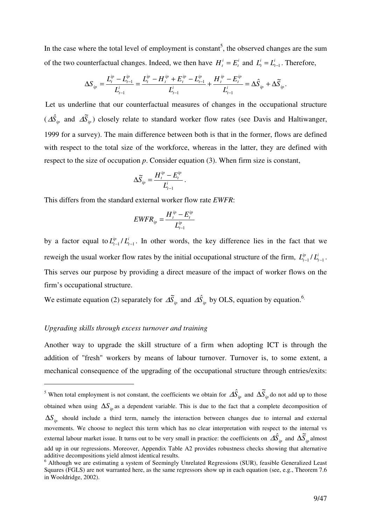In the case where the total level of employment is constant<sup>5</sup>, the observed changes are the sum of the two counterfactual changes. Indeed, we then have  $H_t^i = E_t^i$  and  $L_t^i = L_t^i$  $L_t^i = L_{t-1}^i$ . Therefore,

$$
\Delta S_{ip} = \frac{L_t^{ip} - L_{t-1}^{ip}}{L_{t-1}^i} = \frac{L_t^{ip} - H_t^{ip} + E_t^{ip} - L_{t-1}^{ip}}{L_{t-1}^i} + \frac{H_t^{ip} - E_t^{ip}}{L_{t-1}^i} = \Delta \hat{S}_{ip} + \Delta \widetilde{S}_{ip}.
$$

Let us underline that our counterfactual measures of changes in the occupational structure  $(\Delta \hat{S}_{ip}$  and  $\Delta \tilde{S}_{ip})$  closely relate to standard worker flow rates (see Davis and Haltiwanger, 1999 for a survey). The main difference between both is that in the former, flows are defined with respect to the total size of the workforce, whereas in the latter, they are defined with respect to the size of occupation *p*. Consider equation (3). When firm size is constant,

$$
\Delta \widetilde{S}_{ip} = \frac{H_t^{ip} - E_t^{ip}}{L_{t-1}^i}.
$$

This differs from the standard external worker flow rate *EWFR*:

$$
EWFR_{ip} = \frac{H_i^{ip} - E_i^{ip}}{L_{t-1}^{ip}}
$$

by a factor equal to  $L_{t-1}^{ip}/L_{t-1}^{i}$ . In other words, the key difference lies in the fact that we reweigh the usual worker flow rates by the initial occupational structure of the firm,  $L_{t-1}^{ip}/L_{t-1}^{i}$ . This serves our purpose by providing a direct measure of the impact of worker flows on the firm's occupational structure.

We estimate equation (2) separately for  $\Delta \tilde{S}_{ip}$  and  $\Delta \hat{S}_{ip}$  by OLS, equation by equation.<sup>6</sup>,

### *Upgrading skills through excess turnover and training*

 $\overline{a}$ 

Another way to upgrade the skill structure of a firm when adopting ICT is through the addition of "fresh" workers by means of labour turnover. Turnover is, to some extent, a mechanical consequence of the upgrading of the occupational structure through entries/exits:

<sup>&</sup>lt;sup>5</sup> When total employment is not constant, the coefficients we obtain for  $\Delta \hat{S}_{ip}$  and  $\Delta \tilde{S}_{ip}$  do not add up to those obtained when using  $\Delta S$  as a dependent variable. This is due to the fact that a complete decomposition of  $\Delta S$ <sub>ip</sub> should include a third term, namely the interaction between changes due to internal and external movements. We choose to neglect this term which has no clear interpretation with respect to the internal vs external labour market issue. It turns out to be very small in practice: the coefficients on  $\Delta \hat{S}_{ip}$  and  $\Delta \tilde{S}_{ip}$  almost add up in our regressions. Moreover, Appendix Table A2 provides robustness checks showing that alternative additive decompositions yield almost identical results.

<sup>&</sup>lt;sup>6</sup> Although we are estimating a system of Seemingly Unrelated Regressions (SUR), feasible Generalized Least Squares (FGLS) are not warranted here, as the same regressors show up in each equation (see, e.g., Theorem 7.6 in Wooldridge, 2002).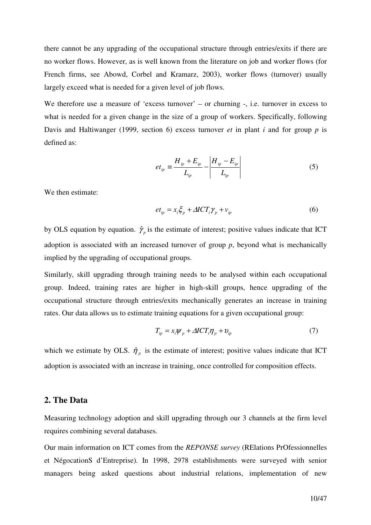there cannot be any upgrading of the occupational structure through entries/exits if there are no worker flows. However, as is well known from the literature on job and worker flows (for French firms, see Abowd, Corbel and Kramarz, 2003), worker flows (turnover) usually largely exceed what is needed for a given level of job flows.

We therefore use a measure of 'excess turnover' – or churning -, i.e. turnover in excess to what is needed for a given change in the size of a group of workers. Specifically, following Davis and Haltiwanger (1999, section 6) excess turnover *et* in plant *i* and for group *p* is defined as:

$$
et_{ip} \equiv \frac{H_{ip} + E_{ip}}{L_{ip}} - \left| \frac{H_{ip} - E_{ip}}{L_{ip}} \right| \tag{5}
$$

We then estimate:

$$
et_{ip} = x_i \xi_p + \Delta I C T_i \gamma_p + v_{ip}
$$
 (6)

by OLS equation by equation.  $\hat{\gamma}_p$  is the estimate of interest; positive values indicate that ICT adoption is associated with an increased turnover of group *p*, beyond what is mechanically implied by the upgrading of occupational groups.

Similarly, skill upgrading through training needs to be analysed within each occupational group. Indeed, training rates are higher in high-skill groups, hence upgrading of the occupational structure through entries/exits mechanically generates an increase in training rates. Our data allows us to estimate training equations for a given occupational group:

$$
T_{ip} = x_i \psi_p + \Delta I C T_i \eta_p + v_{ip} \tag{7}
$$

which we estimate by OLS.  $\hat{\eta}_p$  is the estimate of interest; positive values indicate that ICT adoption is associated with an increase in training, once controlled for composition effects.

# **2. The Data**

Measuring technology adoption and skill upgrading through our 3 channels at the firm level requires combining several databases.

Our main information on ICT comes from the *REPONSE survey* (RElations PrOfessionnelles et NégocationS d'Entreprise). In 1998, 2978 establishments were surveyed with senior managers being asked questions about industrial relations, implementation of new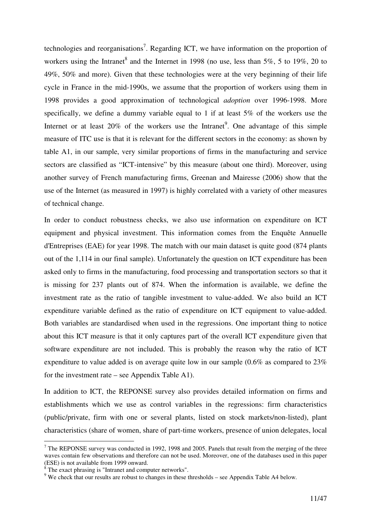technologies and reorganisations<sup>7</sup>. Regarding ICT, we have information on the proportion of workers using the Intranet<sup>8</sup> and the Internet in 1998 (no use, less than  $5\%$ , 5 to 19%, 20 to 49%, 50% and more). Given that these technologies were at the very beginning of their life cycle in France in the mid-1990s, we assume that the proportion of workers using them in 1998 provides a good approximation of technological *adoption* over 1996-1998. More specifically, we define a dummy variable equal to 1 if at least 5% of the workers use the Internet or at least  $20\%$  of the workers use the Intranet<sup>9</sup>. One advantage of this simple measure of ITC use is that it is relevant for the different sectors in the economy: as shown by table A1, in our sample, very similar proportions of firms in the manufacturing and service sectors are classified as "ICT-intensive" by this measure (about one third). Moreover, using another survey of French manufacturing firms, Greenan and Mairesse (2006) show that the use of the Internet (as measured in 1997) is highly correlated with a variety of other measures of technical change.

In order to conduct robustness checks, we also use information on expenditure on ICT equipment and physical investment. This information comes from the Enquête Annuelle d'Entreprises (EAE) for year 1998. The match with our main dataset is quite good (874 plants out of the 1,114 in our final sample). Unfortunately the question on ICT expenditure has been asked only to firms in the manufacturing, food processing and transportation sectors so that it is missing for 237 plants out of 874. When the information is available, we define the investment rate as the ratio of tangible investment to value-added. We also build an ICT expenditure variable defined as the ratio of expenditure on ICT equipment to value-added. Both variables are standardised when used in the regressions. One important thing to notice about this ICT measure is that it only captures part of the overall ICT expenditure given that software expenditure are not included. This is probably the reason why the ratio of ICT expenditure to value added is on average quite low in our sample (0.6% as compared to 23% for the investment rate – see Appendix Table A1).

In addition to ICT, the REPONSE survey also provides detailed information on firms and establishments which we use as control variables in the regressions: firm characteristics (public/private, firm with one or several plants, listed on stock markets/non-listed), plant characteristics (share of women, share of part-time workers, presence of union delegates, local

l

<sup>&</sup>lt;sup>7</sup> The REPONSE survey was conducted in 1992, 1998 and 2005. Panels that result from the merging of the three waves contain few observations and therefore can not be used. Moreover, one of the databases used in this paper (ESE) is not available from 1999 onward.

 $8<sup>8</sup>$  The exact phrasing is "Intranet and computer networks".

 $9$  We check that our results are robust to changes in these thresholds – see Appendix Table A4 below.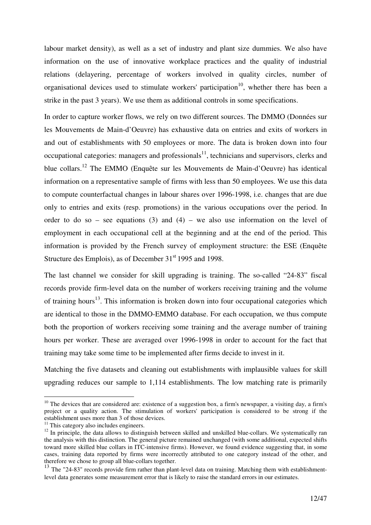labour market density), as well as a set of industry and plant size dummies. We also have information on the use of innovative workplace practices and the quality of industrial relations (delayering, percentage of workers involved in quality circles, number of organisational devices used to stimulate workers' participation<sup>10</sup>, whether there has been a strike in the past 3 years). We use them as additional controls in some specifications.

In order to capture worker flows, we rely on two different sources. The DMMO (Données sur les Mouvements de Main-d'Oeuvre) has exhaustive data on entries and exits of workers in and out of establishments with 50 employees or more. The data is broken down into four occupational categories: managers and professionals<sup>11</sup>, technicians and supervisors, clerks and blue collars.<sup>12</sup> The EMMO (Enquête sur les Mouvements de Main-d'Oeuvre) has identical information on a representative sample of firms with less than 50 employees. We use this data to compute counterfactual changes in labour shares over 1996-1998, i.e. changes that are due only to entries and exits (resp. promotions) in the various occupations over the period. In order to do so – see equations (3) and (4) – we also use information on the level of employment in each occupational cell at the beginning and at the end of the period. This information is provided by the French survey of employment structure: the ESE (Enquête Structure des Emplois), as of December 31<sup>st</sup> 1995 and 1998.

The last channel we consider for skill upgrading is training. The so-called "24-83" fiscal records provide firm-level data on the number of workers receiving training and the volume of training hours<sup>13</sup>. This information is broken down into four occupational categories which are identical to those in the DMMO-EMMO database. For each occupation, we thus compute both the proportion of workers receiving some training and the average number of training hours per worker. These are averaged over 1996-1998 in order to account for the fact that training may take some time to be implemented after firms decide to invest in it.

Matching the five datasets and cleaning out establishments with implausible values for skill upgrading reduces our sample to 1,114 establishments. The low matching rate is primarily

 $\overline{a}$ 

 $10$  The devices that are considered are: existence of a suggestion box, a firm's newspaper, a visiting day, a firm's project or a quality action. The stimulation of workers' participation is considered to be strong if the establishment uses more than 3 of those devices.

 $11$  This category also includes engineers.

 $12$  In principle, the data allows to distinguish between skilled and unskilled blue-collars. We systematically ran the analysis with this distinction. The general picture remained unchanged (with some additional, expected shifts toward more skilled blue collars in ITC-intensive firms). However, we found evidence suggesting that, in some cases, training data reported by firms were incorrectly attributed to one category instead of the other, and therefore we chose to group all blue-collars together.

 $13$  The "24-83" records provide firm rather than plant-level data on training. Matching them with establishmentlevel data generates some measurement error that is likely to raise the standard errors in our estimates.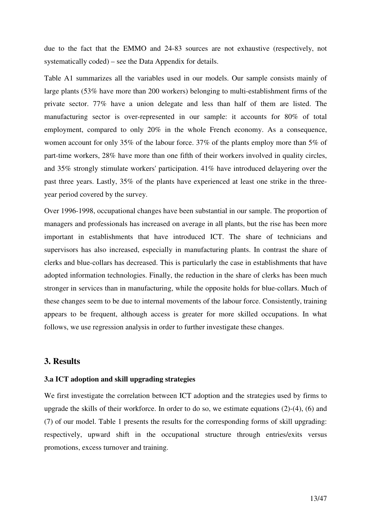due to the fact that the EMMO and 24-83 sources are not exhaustive (respectively, not systematically coded) – see the Data Appendix for details.

Table A1 summarizes all the variables used in our models. Our sample consists mainly of large plants (53% have more than 200 workers) belonging to multi-establishment firms of the private sector. 77% have a union delegate and less than half of them are listed. The manufacturing sector is over-represented in our sample: it accounts for 80% of total employment, compared to only 20% in the whole French economy. As a consequence, women account for only 35% of the labour force. 37% of the plants employ more than 5% of part-time workers, 28% have more than one fifth of their workers involved in quality circles, and 35% strongly stimulate workers' participation. 41% have introduced delayering over the past three years. Lastly, 35% of the plants have experienced at least one strike in the threeyear period covered by the survey.

Over 1996-1998, occupational changes have been substantial in our sample. The proportion of managers and professionals has increased on average in all plants, but the rise has been more important in establishments that have introduced ICT. The share of technicians and supervisors has also increased, especially in manufacturing plants. In contrast the share of clerks and blue-collars has decreased. This is particularly the case in establishments that have adopted information technologies. Finally, the reduction in the share of clerks has been much stronger in services than in manufacturing, while the opposite holds for blue-collars. Much of these changes seem to be due to internal movements of the labour force. Consistently, training appears to be frequent, although access is greater for more skilled occupations. In what follows, we use regression analysis in order to further investigate these changes.

# **3. Results**

## **3.a ICT adoption and skill upgrading strategies**

We first investigate the correlation between ICT adoption and the strategies used by firms to upgrade the skills of their workforce. In order to do so, we estimate equations (2)-(4), (6) and (7) of our model. Table 1 presents the results for the corresponding forms of skill upgrading: respectively, upward shift in the occupational structure through entries/exits versus promotions, excess turnover and training.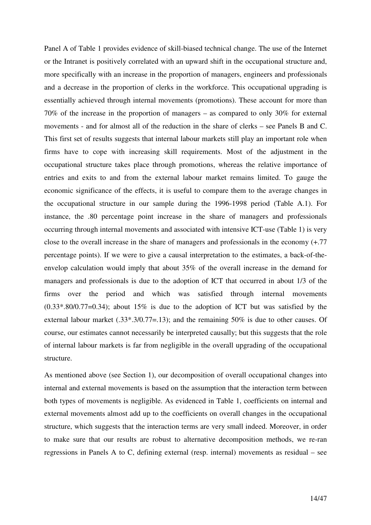Panel A of Table 1 provides evidence of skill-biased technical change. The use of the Internet or the Intranet is positively correlated with an upward shift in the occupational structure and, more specifically with an increase in the proportion of managers, engineers and professionals and a decrease in the proportion of clerks in the workforce. This occupational upgrading is essentially achieved through internal movements (promotions). These account for more than 70% of the increase in the proportion of managers – as compared to only 30% for external movements - and for almost all of the reduction in the share of clerks – see Panels B and C. This first set of results suggests that internal labour markets still play an important role when firms have to cope with increasing skill requirements. Most of the adjustment in the occupational structure takes place through promotions, whereas the relative importance of entries and exits to and from the external labour market remains limited. To gauge the economic significance of the effects, it is useful to compare them to the average changes in the occupational structure in our sample during the 1996-1998 period (Table A.1). For instance, the .80 percentage point increase in the share of managers and professionals occurring through internal movements and associated with intensive ICT-use (Table 1) is very close to the overall increase in the share of managers and professionals in the economy (+.77 percentage points). If we were to give a causal interpretation to the estimates, a back-of-theenvelop calculation would imply that about 35% of the overall increase in the demand for managers and professionals is due to the adoption of ICT that occurred in about 1/3 of the firms over the period and which was satisfied through internal movements  $(0.33^* .80/0.77=0.34)$ ; about 15% is due to the adoption of ICT but was satisfied by the external labour market  $(.33^* \cdot .3/0.77=.13)$ ; and the remaining 50% is due to other causes. Of course, our estimates cannot necessarily be interpreted causally; but this suggests that the role of internal labour markets is far from negligible in the overall upgrading of the occupational structure.

As mentioned above (see Section 1), our decomposition of overall occupational changes into internal and external movements is based on the assumption that the interaction term between both types of movements is negligible. As evidenced in Table 1, coefficients on internal and external movements almost add up to the coefficients on overall changes in the occupational structure, which suggests that the interaction terms are very small indeed. Moreover, in order to make sure that our results are robust to alternative decomposition methods, we re-ran regressions in Panels A to C, defining external (resp. internal) movements as residual – see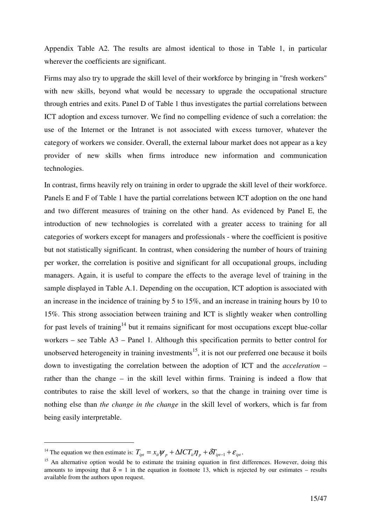Appendix Table A2. The results are almost identical to those in Table 1, in particular wherever the coefficients are significant.

Firms may also try to upgrade the skill level of their workforce by bringing in "fresh workers" with new skills, beyond what would be necessary to upgrade the occupational structure through entries and exits. Panel D of Table 1 thus investigates the partial correlations between ICT adoption and excess turnover. We find no compelling evidence of such a correlation: the use of the Internet or the Intranet is not associated with excess turnover, whatever the category of workers we consider. Overall, the external labour market does not appear as a key provider of new skills when firms introduce new information and communication technologies.

In contrast, firms heavily rely on training in order to upgrade the skill level of their workforce. Panels E and F of Table 1 have the partial correlations between ICT adoption on the one hand and two different measures of training on the other hand. As evidenced by Panel E, the introduction of new technologies is correlated with a greater access to training for all categories of workers except for managers and professionals - where the coefficient is positive but not statistically significant. In contrast, when considering the number of hours of training per worker, the correlation is positive and significant for all occupational groups, including managers. Again, it is useful to compare the effects to the average level of training in the sample displayed in Table A.1. Depending on the occupation, ICT adoption is associated with an increase in the incidence of training by 5 to 15%, and an increase in training hours by 10 to 15%. This strong association between training and ICT is slightly weaker when controlling for past levels of training<sup>14</sup> but it remains significant for most occupations except blue-collar workers – see Table A3 – Panel 1. Although this specification permits to better control for unobserved heterogeneity in training investments<sup>15</sup>, it is not our preferred one because it boils down to investigating the correlation between the adoption of ICT and the *acceleration* – rather than the change – in the skill level within firms. Training is indeed a flow that contributes to raise the skill level of workers, so that the change in training over time is nothing else than *the change in the change* in the skill level of workers, which is far from being easily interpretable.

 $\overline{a}$ 

<sup>&</sup>lt;sup>14</sup> The equation we then estimate is:  $T_{ipt} = x_{it} \psi_p + \Delta I C T_{it} \eta_p + \delta T_{ipt-1} + \varepsilon_{ipt}$ .

 $15$  An alternative option would be to estimate the training equation in first differences. However, doing this amounts to imposing that  $\delta = 1$  in the equation in footnote 13, which is rejected by our estimates – results available from the authors upon request.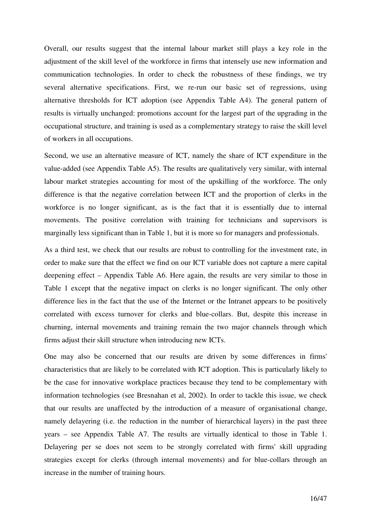Overall, our results suggest that the internal labour market still plays a key role in the adjustment of the skill level of the workforce in firms that intensely use new information and communication technologies. In order to check the robustness of these findings, we try several alternative specifications. First, we re-run our basic set of regressions, using alternative thresholds for ICT adoption (see Appendix Table A4). The general pattern of results is virtually unchanged: promotions account for the largest part of the upgrading in the occupational structure, and training is used as a complementary strategy to raise the skill level of workers in all occupations.

Second, we use an alternative measure of ICT, namely the share of ICT expenditure in the value-added (see Appendix Table A5). The results are qualitatively very similar, with internal labour market strategies accounting for most of the upskilling of the workforce. The only difference is that the negative correlation between ICT and the proportion of clerks in the workforce is no longer significant, as is the fact that it is essentially due to internal movements. The positive correlation with training for technicians and supervisors is marginally less significant than in Table 1, but it is more so for managers and professionals.

As a third test, we check that our results are robust to controlling for the investment rate, in order to make sure that the effect we find on our ICT variable does not capture a mere capital deepening effect – Appendix Table A6. Here again, the results are very similar to those in Table 1 except that the negative impact on clerks is no longer significant. The only other difference lies in the fact that the use of the Internet or the Intranet appears to be positively correlated with excess turnover for clerks and blue-collars. But, despite this increase in churning, internal movements and training remain the two major channels through which firms adjust their skill structure when introducing new ICTs.

One may also be concerned that our results are driven by some differences in firms' characteristics that are likely to be correlated with ICT adoption. This is particularly likely to be the case for innovative workplace practices because they tend to be complementary with information technologies (see Bresnahan et al, 2002). In order to tackle this issue, we check that our results are unaffected by the introduction of a measure of organisational change, namely delayering (i.e. the reduction in the number of hierarchical layers) in the past three years – see Appendix Table A7. The results are virtually identical to those in Table 1. Delayering per se does not seem to be strongly correlated with firms' skill upgrading strategies except for clerks (through internal movements) and for blue-collars through an increase in the number of training hours.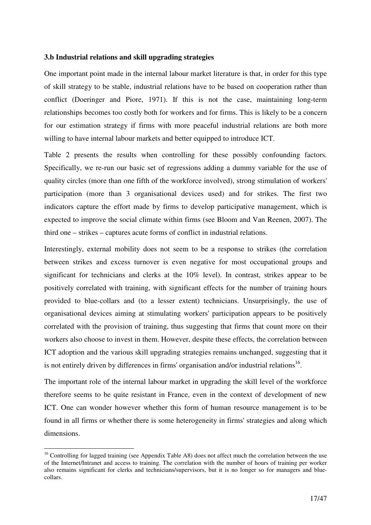## **3.b Industrial relations and skill upgrading strategies**

One important point made in the internal labour market literature is that, in order for this type of skill strategy to be stable, industrial relations have to be based on cooperation rather than conflict (Doeringer and Piore, 1971). If this is not the case, maintaining long-term relationships becomes too costly both for workers and for firms. This is likely to be a concern for our estimation strategy if firms with more peaceful industrial relations are both more willing to have internal labour markets and better equipped to introduce ICT.

Table 2 presents the results when controlling for these possibly confounding factors. Specifically, we re-run our basic set of regressions adding a dummy variable for the use of quality circles (more than one fifth of the workforce involved), strong stimulation of workers' participation (more than 3 organisational devices used) and for strikes. The first two indicators capture the effort made by firms to develop participative management, which is expected to improve the social climate within firms (see Bloom and Van Reenen, 2007). The third one – strikes – captures acute forms of conflict in industrial relations.

Interestingly, external mobility does not seem to be a response to strikes (the correlation between strikes and excess turnover is even negative for most occupational groups and significant for technicians and clerks at the 10% level). In contrast, strikes appear to be positively correlated with training, with significant effects for the number of training hours provided to blue-collars and (to a lesser extent) technicians. Unsurprisingly, the use of organisational devices aiming at stimulating workers' participation appears to be positively correlated with the provision of training, thus suggesting that firms that count more on their workers also choose to invest in them. However, despite these effects, the correlation between ICT adoption and the various skill upgrading strategies remains unchanged, suggesting that it is not entirely driven by differences in firms' organisation and/or industrial relations<sup>16</sup>.

The important role of the internal labour market in upgrading the skill level of the workforce therefore seems to be quite resistant in France, even in the context of development of new ICT. One can wonder however whether this form of human resource management is to be found in all firms or whether there is some heterogeneity in firms' strategies and along which dimensions.

 $\overline{a}$ 

<sup>&</sup>lt;sup>16</sup> Controlling for lagged training (see Appendix Table A8) does not affect much the correlation between the use of the Internet/Intranet and access to training. The correlation with the number of hours of training per worker also remains significant for clerks and technicians/supervisors, but it is no longer so for managers and bluecollars.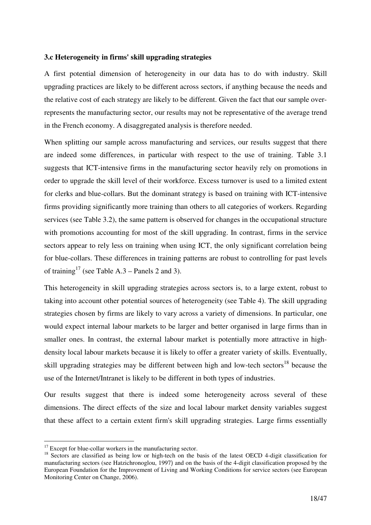## **3.c Heterogeneity in firms' skill upgrading strategies**

A first potential dimension of heterogeneity in our data has to do with industry. Skill upgrading practices are likely to be different across sectors, if anything because the needs and the relative cost of each strategy are likely to be different. Given the fact that our sample overrepresents the manufacturing sector, our results may not be representative of the average trend in the French economy. A disaggregated analysis is therefore needed.

When splitting our sample across manufacturing and services, our results suggest that there are indeed some differences, in particular with respect to the use of training. Table 3.1 suggests that ICT-intensive firms in the manufacturing sector heavily rely on promotions in order to upgrade the skill level of their workforce. Excess turnover is used to a limited extent for clerks and blue-collars. But the dominant strategy is based on training with ICT-intensive firms providing significantly more training than others to all categories of workers. Regarding services (see Table 3.2), the same pattern is observed for changes in the occupational structure with promotions accounting for most of the skill upgrading. In contrast, firms in the service sectors appear to rely less on training when using ICT, the only significant correlation being for blue-collars. These differences in training patterns are robust to controlling for past levels of training<sup>17</sup> (see Table A.3 – Panels 2 and 3).

This heterogeneity in skill upgrading strategies across sectors is, to a large extent, robust to taking into account other potential sources of heterogeneity (see Table 4). The skill upgrading strategies chosen by firms are likely to vary across a variety of dimensions. In particular, one would expect internal labour markets to be larger and better organised in large firms than in smaller ones. In contrast, the external labour market is potentially more attractive in highdensity local labour markets because it is likely to offer a greater variety of skills. Eventually, skill upgrading strategies may be different between high and low-tech sectors<sup>18</sup> because the use of the Internet/Intranet is likely to be different in both types of industries.

Our results suggest that there is indeed some heterogeneity across several of these dimensions. The direct effects of the size and local labour market density variables suggest that these affect to a certain extent firm's skill upgrading strategies. Large firms essentially

l

 $17$  Except for blue-collar workers in the manufacturing sector.

<sup>&</sup>lt;sup>18</sup> Sectors are classified as being low or high-tech on the basis of the latest OECD 4-digit classification for manufacturing sectors (see Hatzichronoglou, 1997) and on the basis of the 4-digit classification proposed by the European Foundation for the Improvement of Living and Working Conditions for service sectors (see European Monitoring Center on Change, 2006).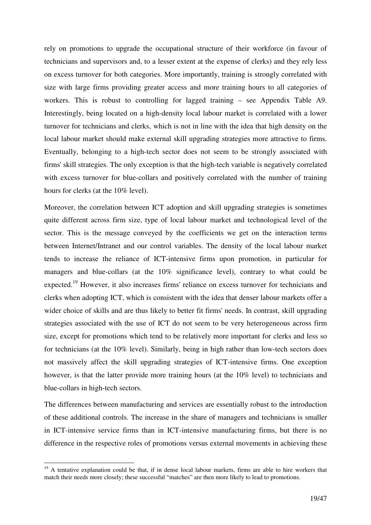rely on promotions to upgrade the occupational structure of their workforce (in favour of technicians and supervisors and, to a lesser extent at the expense of clerks) and they rely less on excess turnover for both categories. More importantly, training is strongly correlated with size with large firms providing greater access and more training hours to all categories of workers. This is robust to controlling for lagged training – see Appendix Table A9. Interestingly, being located on a high-density local labour market is correlated with a lower turnover for technicians and clerks, which is not in line with the idea that high density on the local labour market should make external skill upgrading strategies more attractive to firms. Eventually, belonging to a high-tech sector does not seem to be strongly associated with firms' skill strategies. The only exception is that the high-tech variable is negatively correlated with excess turnover for blue-collars and positively correlated with the number of training hours for clerks (at the 10% level).

Moreover, the correlation between ICT adoption and skill upgrading strategies is sometimes quite different across firm size, type of local labour market and technological level of the sector. This is the message conveyed by the coefficients we get on the interaction terms between Internet/Intranet and our control variables. The density of the local labour market tends to increase the reliance of ICT-intensive firms upon promotion, in particular for managers and blue-collars (at the 10% significance level), contrary to what could be expected.<sup>19</sup> However, it also increases firms' reliance on excess turnover for technicians and clerks when adopting ICT, which is consistent with the idea that denser labour markets offer a wider choice of skills and are thus likely to better fit firms' needs. In contrast, skill upgrading strategies associated with the use of ICT do not seem to be very heterogeneous across firm size, except for promotions which tend to be relatively more important for clerks and less so for technicians (at the 10% level). Similarly, being in high rather than low-tech sectors does not massively affect the skill upgrading strategies of ICT-intensive firms. One exception however, is that the latter provide more training hours (at the 10% level) to technicians and blue-collars in high-tech sectors.

The differences between manufacturing and services are essentially robust to the introduction of these additional controls. The increase in the share of managers and technicians is smaller in ICT-intensive service firms than in ICT-intensive manufacturing firms, but there is no difference in the respective roles of promotions versus external movements in achieving these

 $\overline{a}$ 

<sup>&</sup>lt;sup>19</sup> A tentative explanation could be that, if in dense local labour markets, firms are able to hire workers that match their needs more closely; these successful "matches" are then more likely to lead to promotions.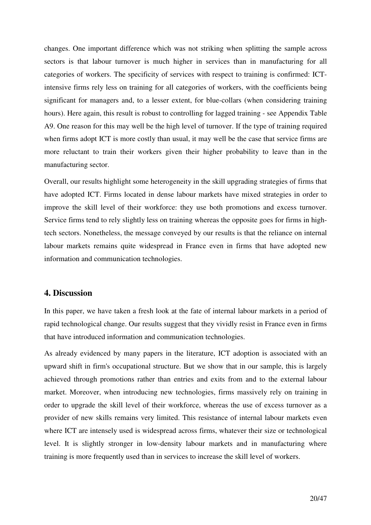changes. One important difference which was not striking when splitting the sample across sectors is that labour turnover is much higher in services than in manufacturing for all categories of workers. The specificity of services with respect to training is confirmed: ICTintensive firms rely less on training for all categories of workers, with the coefficients being significant for managers and, to a lesser extent, for blue-collars (when considering training hours). Here again, this result is robust to controlling for lagged training - see Appendix Table A9. One reason for this may well be the high level of turnover. If the type of training required when firms adopt ICT is more costly than usual, it may well be the case that service firms are more reluctant to train their workers given their higher probability to leave than in the manufacturing sector.

Overall, our results highlight some heterogeneity in the skill upgrading strategies of firms that have adopted ICT. Firms located in dense labour markets have mixed strategies in order to improve the skill level of their workforce: they use both promotions and excess turnover. Service firms tend to rely slightly less on training whereas the opposite goes for firms in hightech sectors. Nonetheless, the message conveyed by our results is that the reliance on internal labour markets remains quite widespread in France even in firms that have adopted new information and communication technologies.

# **4. Discussion**

In this paper, we have taken a fresh look at the fate of internal labour markets in a period of rapid technological change. Our results suggest that they vividly resist in France even in firms that have introduced information and communication technologies.

As already evidenced by many papers in the literature, ICT adoption is associated with an upward shift in firm's occupational structure. But we show that in our sample, this is largely achieved through promotions rather than entries and exits from and to the external labour market. Moreover, when introducing new technologies, firms massively rely on training in order to upgrade the skill level of their workforce, whereas the use of excess turnover as a provider of new skills remains very limited. This resistance of internal labour markets even where ICT are intensely used is widespread across firms, whatever their size or technological level. It is slightly stronger in low-density labour markets and in manufacturing where training is more frequently used than in services to increase the skill level of workers.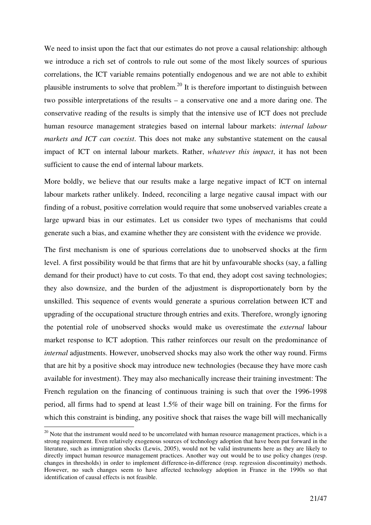We need to insist upon the fact that our estimates do not prove a causal relationship: although we introduce a rich set of controls to rule out some of the most likely sources of spurious correlations, the ICT variable remains potentially endogenous and we are not able to exhibit plausible instruments to solve that problem.<sup>20</sup> It is therefore important to distinguish between two possible interpretations of the results – a conservative one and a more daring one. The conservative reading of the results is simply that the intensive use of ICT does not preclude human resource management strategies based on internal labour markets: *internal labour markets and ICT can coexist*. This does not make any substantive statement on the causal impact of ICT on internal labour markets. Rather, *whatever this impact*, it has not been sufficient to cause the end of internal labour markets.

More boldly, we believe that our results make a large negative impact of ICT on internal labour markets rather unlikely. Indeed, reconciling a large negative causal impact with our finding of a robust, positive correlation would require that some unobserved variables create a large upward bias in our estimates. Let us consider two types of mechanisms that could generate such a bias, and examine whether they are consistent with the evidence we provide.

The first mechanism is one of spurious correlations due to unobserved shocks at the firm level. A first possibility would be that firms that are hit by unfavourable shocks (say, a falling demand for their product) have to cut costs. To that end, they adopt cost saving technologies; they also downsize, and the burden of the adjustment is disproportionately born by the unskilled. This sequence of events would generate a spurious correlation between ICT and upgrading of the occupational structure through entries and exits. Therefore, wrongly ignoring the potential role of unobserved shocks would make us overestimate the *external* labour market response to ICT adoption. This rather reinforces our result on the predominance of *internal* adjustments. However, unobserved shocks may also work the other way round. Firms that are hit by a positive shock may introduce new technologies (because they have more cash available for investment). They may also mechanically increase their training investment: The French regulation on the financing of continuous training is such that over the 1996-1998 period, all firms had to spend at least 1.5% of their wage bill on training. For the firms for which this constraint is binding, any positive shock that raises the wage bill will mechanically

 $\overline{a}$ 

 $^{20}$  Note that the instrument would need to be uncorrelated with human resource management practices, which is a strong requirement. Even relatively exogenous sources of technology adoption that have been put forward in the literature, such as immigration shocks (Lewis, 2005), would not be valid instruments here as they are likely to directly impact human resource management practices. Another way out would be to use policy changes (resp. changes in thresholds) in order to implement difference-in-difference (resp. regression discontinuity) methods. However, no such changes seem to have affected technology adoption in France in the 1990s so that identification of causal effects is not feasible.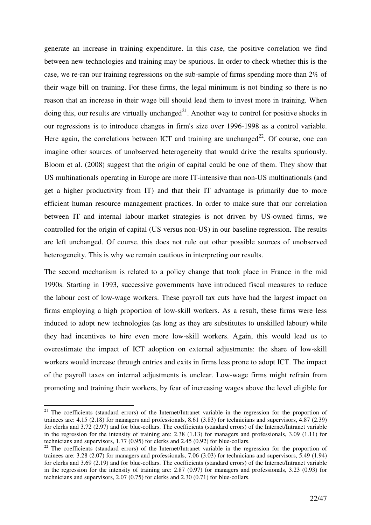generate an increase in training expenditure. In this case, the positive correlation we find between new technologies and training may be spurious. In order to check whether this is the case, we re-ran our training regressions on the sub-sample of firms spending more than 2% of their wage bill on training. For these firms, the legal minimum is not binding so there is no reason that an increase in their wage bill should lead them to invest more in training. When doing this, our results are virtually unchanged<sup>21</sup>. Another way to control for positive shocks in our regressions is to introduce changes in firm's size over 1996-1998 as a control variable. Here again, the correlations between ICT and training are unchanged<sup>22</sup>. Of course, one can imagine other sources of unobserved heterogeneity that would drive the results spuriously. Bloom et al. (2008) suggest that the origin of capital could be one of them. They show that US multinationals operating in Europe are more IT-intensive than non-US multinationals (and get a higher productivity from IT) and that their IT advantage is primarily due to more efficient human resource management practices. In order to make sure that our correlation between IT and internal labour market strategies is not driven by US-owned firms, we controlled for the origin of capital (US versus non-US) in our baseline regression. The results are left unchanged. Of course, this does not rule out other possible sources of unobserved heterogeneity. This is why we remain cautious in interpreting our results.

The second mechanism is related to a policy change that took place in France in the mid 1990s. Starting in 1993, successive governments have introduced fiscal measures to reduce the labour cost of low-wage workers. These payroll tax cuts have had the largest impact on firms employing a high proportion of low-skill workers. As a result, these firms were less induced to adopt new technologies (as long as they are substitutes to unskilled labour) while they had incentives to hire even more low-skill workers. Again, this would lead us to overestimate the impact of ICT adoption on external adjustments: the share of low-skill workers would increase through entries and exits in firms less prone to adopt ICT. The impact of the payroll taxes on internal adjustments is unclear. Low-wage firms might refrain from promoting and training their workers, by fear of increasing wages above the level eligible for

 $\overline{a}$ 

<sup>&</sup>lt;sup>21</sup> The coefficients (standard errors) of the Internet/Intranet variable in the regression for the proportion of trainees are: 4.15 (2.18) for managers and professionals, 8.61 (3.83) for technicians and supervisors, 4.87 (2.39) for clerks and 3.72 (2.97) and for blue-collars. The coefficients (standard errors) of the Internet/Intranet variable in the regression for the intensity of training are: 2.38 (1.13) for managers and professionals, 3.09 (1.11) for technicians and supervisors, 1.77 (0.95) for clerks and 2.45 (0.92) for blue-collars.

<sup>&</sup>lt;sup>22</sup> The coefficients (standard errors) of the Internet/Intranet variable in the regression for the proportion of trainees are: 3.28 (2.07) for managers and professionals, 7.06 (3.03) for technicians and supervisors, 5.49 (1.94) for clerks and 3.69 (2.19) and for blue-collars. The coefficients (standard errors) of the Internet/Intranet variable in the regression for the intensity of training are: 2.87 (0.97) for managers and professionals, 3.23 (0.93) for technicians and supervisors, 2.07 (0.75) for clerks and 2.30 (0.71) for blue-collars.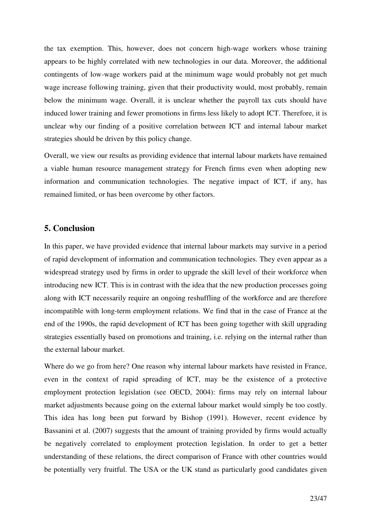the tax exemption. This, however, does not concern high-wage workers whose training appears to be highly correlated with new technologies in our data. Moreover, the additional contingents of low-wage workers paid at the minimum wage would probably not get much wage increase following training, given that their productivity would, most probably, remain below the minimum wage. Overall, it is unclear whether the payroll tax cuts should have induced lower training and fewer promotions in firms less likely to adopt ICT. Therefore, it is unclear why our finding of a positive correlation between ICT and internal labour market strategies should be driven by this policy change.

Overall, we view our results as providing evidence that internal labour markets have remained a viable human resource management strategy for French firms even when adopting new information and communication technologies. The negative impact of ICT, if any, has remained limited, or has been overcome by other factors.

# **5. Conclusion**

In this paper, we have provided evidence that internal labour markets may survive in a period of rapid development of information and communication technologies. They even appear as a widespread strategy used by firms in order to upgrade the skill level of their workforce when introducing new ICT. This is in contrast with the idea that the new production processes going along with ICT necessarily require an ongoing reshuffling of the workforce and are therefore incompatible with long-term employment relations. We find that in the case of France at the end of the 1990s, the rapid development of ICT has been going together with skill upgrading strategies essentially based on promotions and training, i.e. relying on the internal rather than the external labour market.

Where do we go from here? One reason why internal labour markets have resisted in France, even in the context of rapid spreading of ICT, may be the existence of a protective employment protection legislation (see OECD, 2004): firms may rely on internal labour market adjustments because going on the external labour market would simply be too costly. This idea has long been put forward by Bishop (1991). However, recent evidence by Bassanini et al. (2007) suggests that the amount of training provided by firms would actually be negatively correlated to employment protection legislation. In order to get a better understanding of these relations, the direct comparison of France with other countries would be potentially very fruitful. The USA or the UK stand as particularly good candidates given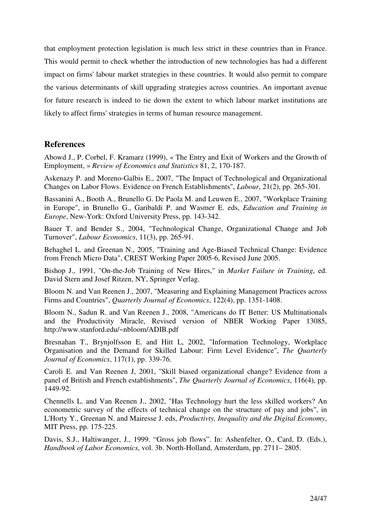that employment protection legislation is much less strict in these countries than in France. This would permit to check whether the introduction of new technologies has had a different impact on firms' labour market strategies in these countries. It would also permit to compare the various determinants of skill upgrading strategies across countries. An important avenue for future research is indeed to tie down the extent to which labour market institutions are likely to affect firms' strategies in terms of human resource management.

# **References**

Abowd J., P. Corbel, F. Kramarz (1999), « The Entry and Exit of Workers and the Growth of Employment, » *Review of Economics and Statistics* 81, 2, 170-187.

Askenazy P. and Moreno-Galbis E., 2007, "The Impact of Technological and Organizational Changes on Labor Flows. Evidence on French Establishments", *Labour*, 21(2), pp. 265-301.

Bassanini A., Booth A., Brunello G. De Paola M. and Leuwen E., 2007, "Workplace Training in Europe", in Brunello G., Garibaldi P. and Wasmer E. eds, *Education and Training in Europe*, New-York: Oxford University Press, pp. 143-342.

Bauer T. and Bender S., 2004, "Technological Change, Organizational Change and Job Turnover", *Labour Economics*, 11(3), pp. 265-91.

Behaghel L. and Greenan N., 2005, "Training and Age-Biased Technical Change: Evidence from French Micro Data", CREST Working Paper 2005-6, Revised June 2005.

Bishop J., 1991, "On-the-Job Training of New Hires," in *Market Failure in Training*, ed. David Stern and Josef Ritzen, NY, Springer Verlag.

Bloom N. and Van Reenen J., 2007, "Measuring and Explaining Management Practices across Firms and Countries", *Quarterly Journal of Economics*, 122(4), pp. 1351-1408.

Bloom N., Sadun R. and Van Reenen J., 2008, "Americans do IT Better: US Multinationals and the Productivity Miracle, Revised version of NBER Working Paper 13085, http://www.stanford.edu/~nbloom/ADIB.pdf

Bresnahan T., Brynjolfsson E. and Hitt L, 2002, "Information Technology, Workplace Organisation and the Demand for Skilled Labour: Firm Level Evidence", *The Quarterly Journal of Economics*, 117(1), pp. 339-76.

Caroli E. and Van Reenen J, 2001, ''Skill biased organizational change? Evidence from a panel of British and French establishments'', *The Quarterly Journal of Economics*, 116(4), pp. 1449-92.

Chennells L. and Van Reenen J., 2002, "Has Technology hurt the less skilled workers? An econometric survey of the effects of technical change on the structure of pay and jobs", in L'Horty Y., Greenan N. and Mairesse J. eds, *Productivty, Inequality and the Digital Economy*, MIT Press, pp. 175-225.

Davis, S.J., Haltiwanger, J., 1999. "Gross job flows". In: Ashenfelter, O., Card, D. (Eds.), *Handbook of Labor Economics*, vol. 3b. North-Holland, Amsterdam, pp. 2711– 2805.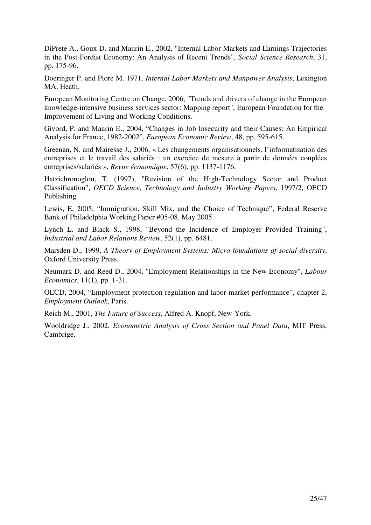DiPrete A., Goux D. and Maurin E., 2002, "Internal Labor Markets and Earnings Trajectories in the Post-Fordist Economy: An Analysis of Recent Trends", *Social Science Research*, 31, pp. 175-96.

Doeringer P. and Piore M. 1971. *Internal Labor Markets and Manpower Analysis*, Lexington MA, Heath.

European Monitoring Centre on Change, 2006, "Trends and drivers of change in the European knowledge-intensive business services sector: Mapping report", European Foundation for the Improvement of Living and Working Conditions.

Givord, P. and Maurin E., 2004, "Changes in Job Insecurity and their Causes: An Empirical Analysis for France, 1982-2002", *European Economic Review*, 48, pp. 595-615.

Greenan, N. and Mairesse J., 2006, « Les changements organisationnels, l'informatisation des entreprises et le travail des salariés : un exercice de mesure à partir de données couplées entreprises/salariés », *Revue économique*, 57(6), pp. 1137-1176.

Hatzichronoglou, T. (1997), "Revision of the High-Technology Sector and Product Classification", *OECD Science, Technology and Industry Working Papers*, 1997/2, OECD Publishing

Lewis, E, 2005, "Immigration, Skill Mix, and the Choice of Technique", Federal Reserve Bank of Philadelphia Working Paper #05-08, May 2005.

Lynch L. and Black S., 1998, "Beyond the Incidence of Employer Provided Training", *Industrial and Labor Relations Review*, 52(1), pp. 6481.

Marsden D., 1999, *A Theory of Employment Systems: Micro-foundations of social diversity*, Oxford University Press.

Neumark D. and Reed D., 2004, "Employment Relationships in the New Economy", *Labour Economics*, 11(1), pp. 1-31.

OECD, 2004, "Employment protection regulation and labor market performance", chapter 2, *Employment Outlook*, Paris.

Reich M., 2001, *The Future of Success*, Alfred A. Knopf, New-York.

Wooldridge J., 2002, *Econometric Analysis of Cross Section and Panel Data*, MIT Press, Cambrige.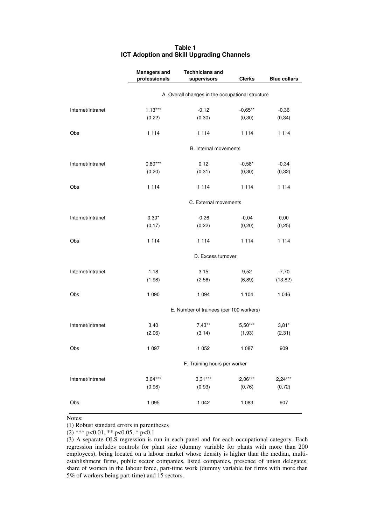|                   | <b>Managers and</b> | <b>Technicians and</b>                           |               |                     |
|-------------------|---------------------|--------------------------------------------------|---------------|---------------------|
|                   | professionals       | supervisors                                      | <b>Clerks</b> | <b>Blue collars</b> |
|                   |                     | A. Overall changes in the occupational structure |               |                     |
| Internet/Intranet | $1,13***$           | $-0,12$                                          | $-0,65**$     | $-0,36$             |
|                   | (0, 22)             | (0, 30)                                          | (0, 30)       | (0, 34)             |
| Obs               | 1 1 1 4             | 1 1 1 4                                          | 1 1 1 4       | 1 1 1 4             |
|                   |                     | B. Internal movements                            |               |                     |
| Internet/Intranet | $0,80***$           | 0,12                                             | $-0,58*$      | $-0,34$             |
|                   | (0, 20)             | (0, 31)                                          | (0, 30)       | (0, 32)             |
| Obs               | 1 1 1 4             | 1 1 1 4                                          | 1 1 1 4       | 1 1 1 4             |
|                   |                     | C. External movements                            |               |                     |
| Internet/Intranet | $0,30*$             | $-0,26$                                          | $-0,04$       | 0,00                |
|                   | (0, 17)             | (0, 22)                                          | (0, 20)       | (0, 25)             |
| Obs               | 1 1 1 4             | 1 1 1 4                                          | 1 1 1 4       | 1 1 1 4             |
|                   |                     | D. Excess turnover                               |               |                     |
| Internet/Intranet | 1,18                | 3,15                                             | 9,52          | $-7,70$             |
|                   | (1,98)              | (2, 56)                                          | (6, 89)       | (13, 82)            |
| Obs               | 1 0 9 0             | 1 0 9 4                                          | 1 1 0 4       | 1 0 4 6             |
|                   |                     | E. Number of trainees (per 100 workers)          |               |                     |
| Internet/Intranet | 3,40                | $7,43**$                                         | $5,50***$     | $3,81*$             |
|                   | (2,06)              | (3, 14)                                          | (1, 93)       | (2, 31)             |
| Obs               | 1 0 9 7             | 1 0 5 2                                          | 1 0 8 7       | 909                 |
|                   |                     | F. Training hours per worker                     |               |                     |
| Internet/Intranet | $3,04***$           | $3,31***$                                        | $2,06***$     | $2,24***$           |
|                   | (0,98)              | (0, 93)                                          | (0, 76)       | (0, 72)             |
| Obs               | 1 0 9 5             | 1 0 4 2                                          | 1 0 8 3       | 907                 |

### **Table 1 ICT Adoption and Skill Upgrading Channels**

Notes:

(1) Robust standard errors in parentheses

(2) \*\*\* p<0.01, \*\* p<0.05, \* p<0.1

(3) A separate OLS regression is run in each panel and for each occupational category. Each regression includes controls for plant size (dummy variable for plants with more than 200 employees), being located on a labour market whose density is higher than the median, multiestablishment firms, public sector companies, listed companies, presence of union delegates, share of women in the labour force, part-time work (dummy variable for firms with more than 5% of workers being part-time) and 15 sectors.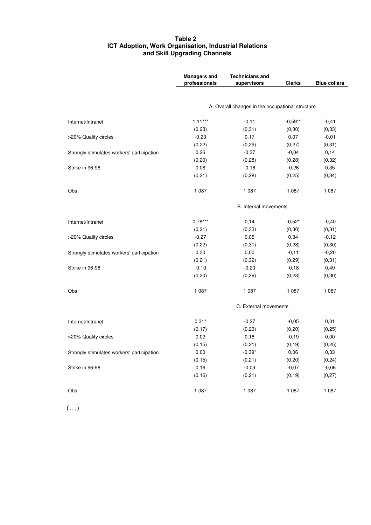#### **Table 2 ICT Adoption, Work Organisation, Industrial Relations and Skill Upgrading Channels**

|                                            | <b>Managers and</b><br>professionals | <b>Technicians and</b><br>supervisors            | <b>Clerks</b> | <b>Blue collars</b> |
|--------------------------------------------|--------------------------------------|--------------------------------------------------|---------------|---------------------|
|                                            |                                      |                                                  |               |                     |
|                                            |                                      | A. Overall changes in the occupational structure |               |                     |
| Internet/Intranet                          | $1,11***$                            | $-0,11$                                          | $-0,59**$     | $-0,41$             |
|                                            | (0, 23)                              | (0, 31)                                          | (0, 30)       | (0, 33)             |
| >20% Quality circles                       | $-0,23$                              | 0,17                                             | 0,07          | $-0,01$             |
|                                            | (0, 22)                              | (0, 29)                                          | (0, 27)       | (0, 31)             |
| Strongly stimulates workers' participation | 0,26                                 | $-0,37$                                          | $-0,04$       | 0,14                |
|                                            | (0, 20)                              | (0, 28)                                          | (0, 28)       | (0, 32)             |
| Strike in 96-98                            | 0,08                                 | $-0,16$                                          | $-0,26$       | 0,35                |
|                                            | (0, 21)                              | (0, 28)                                          | (0, 25)       | (0, 34)             |
| Obs                                        | 1 0 8 7                              | 1 0 8 7                                          | 1 0 8 7       | 1 0 8 7             |
|                                            |                                      | B. Internal movements                            |               |                     |
| Internet/Intranet                          | $0,78***$                            | 0,14                                             | $-0,52*$      | $-0,40$             |
|                                            | (0, 21)                              | (0, 33)                                          | (0, 30)       | (0, 31)             |
| >20% Quality circles                       | $-0,27$                              | 0,05                                             | 0,34          | $-0,12$             |
|                                            | (0, 22)                              | (0,31)                                           | (0, 28)       | (0, 30)             |
| Strongly stimulates workers' participation | 0,30                                 | 0,00                                             | $-0,11$       | $-0,20$             |
|                                            | (0, 21)                              | (0, 32)                                          | (0, 29)       | (0, 31)             |
| Strike in 96-98                            | $-0,10$                              | $-0,20$                                          | $-0,18$       | 0,49                |
|                                            | (0, 20)                              | (0, 29)                                          | (0, 28)       | (0, 30)             |
| Obs                                        | 1 0 8 7                              | 1 0 8 7                                          | 1 0 8 7       | 1 0 8 7             |
|                                            |                                      | C. External movements                            |               |                     |
| Internet/Intranet                          | $0,31*$                              | $-0,27$                                          | $-0,05$       | 0,01                |
|                                            | (0, 17)                              | (0, 23)                                          | (0, 20)       | (0, 25)             |
| >20% Quality circles                       | 0,02                                 | 0, 18                                            | $-0,19$       | 0,00                |
|                                            | (0, 15)                              | (0, 21)                                          | (0, 19)       | (0, 25)             |
| Strongly stimulates workers' participation | 0,00                                 | $-0,39*$                                         | 0,06          | 0,33                |
|                                            | (0, 15)                              | (0,21)                                           | (0, 20)       | (0, 24)             |
| Strike in 96-98                            | 0,16                                 | $-0,03$                                          | $-0,07$       | $-0,06$             |
|                                            | (0, 16)                              | (0, 21)                                          | (0, 19)       | (0, 27)             |
| Obs                                        | 1 0 8 7                              | 1 0 8 7                                          | 1 0 8 7       | 1 0 8 7             |

(…)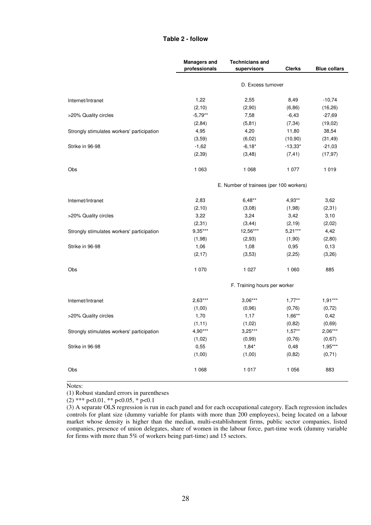### **Table 2 - follow**

|                                            | <b>Managers and</b><br>professionals | <b>Technicians and</b><br>supervisors   | <b>Clerks</b> | <b>Blue collars</b> |
|--------------------------------------------|--------------------------------------|-----------------------------------------|---------------|---------------------|
|                                            |                                      |                                         |               |                     |
|                                            |                                      | D. Excess turnover                      |               |                     |
| Internet/Intranet                          | 1,22                                 | 2,55                                    | 8,49          | $-10,74$            |
|                                            | (2, 10)                              | (2,90)                                  | (6, 86)       | (16, 26)            |
| >20% Quality circles                       | $-5,79**$                            | 7,58                                    | $-6,43$       | $-27,69$            |
|                                            | (2, 84)                              | (5, 81)                                 | (7, 34)       | (19,02)             |
| Strongly stimulates workers' participation | 4,95                                 | 4,20                                    | 11,80         | 38,54               |
|                                            | (3,59)                               | (6,02)                                  | (10, 90)      | (31, 49)            |
| Strike in 96-98                            | $-1,62$                              | $-6,18*$                                | $-13,33*$     | $-21,03$            |
|                                            | (2, 39)                              | (3, 48)                                 | (7, 41)       | (17, 97)            |
| Obs                                        | 1 0 6 3                              | 1 0 6 8                                 | 1 0 7 7       | 1019                |
|                                            |                                      | E. Number of trainees (per 100 workers) |               |                     |
| Internet/Intranet                          | 2,83                                 | $6,48**$                                | 4,93**        | 3,62                |
|                                            | (2,10)                               | (3,08)                                  | (1,98)        | (2,31)              |
| >20% Quality circles                       | 3,22                                 | 3,24                                    | 3,42          | 3,10                |
|                                            | (2,31)                               | (3, 44)                                 | (2, 19)       | (2,02)              |
| Strongly stimulates workers' participation | $9.35***$                            | 12,56***                                | $5.21***$     | 4,42                |
|                                            | (1,98)                               | (2,93)                                  | (1, 90)       | (2, 80)             |
| Strike in 96-98                            | 1,06                                 | 1,08                                    | 0,95          | 0,13                |
|                                            | (2, 17)                              | (3,53)                                  | (2,25)        | (3,26)              |
| Obs                                        | 1 0 7 0                              | 1 0 2 7                                 | 1 0 6 0       | 885                 |
|                                            |                                      | F. Training hours per worker            |               |                     |
| Internet/Intranet                          | $2,63***$                            | $3,06***$                               | $1,77***$     | $1.91***$           |
|                                            | (1,00)                               | (0, 96)                                 | (0,76)        | (0, 72)             |
| >20% Quality circles                       | 1,70                                 | 1,17                                    | $1,66**$      | 0,42                |
|                                            | (1, 11)                              | (1,02)                                  | (0,82)        | (0,69)              |
| Strongly stimulates workers' participation | $4,90***$                            | $3,25***$                               | $1,57***$     | $2,06***$           |
|                                            | (1,02)                               | (0, 99)                                 | (0,76)        | (0,67)              |
| Strike in 96-98                            | 0,55                                 | $1,84*$                                 | 0,48          | $1,95***$           |
|                                            | (1,00)                               | (1,00)                                  | (0,82)        | (0,71)              |
| Obs                                        | 1 0 6 8                              | 1 0 1 7                                 | 1 0 5 6       | 883                 |

Notes:

(1) Robust standard errors in parentheses

 $(2)$  \*\*\* p<0.01, \*\* p<0.05, \* p<0.1

(3) A separate OLS regression is run in each panel and for each occupational category. Each regression includes controls for plant size (dummy variable for plants with more than 200 employees), being located on a labour market whose density is higher than the median, multi-establishment firms, public sector companies, listed companies, presence of union delegates, share of women in the labour force, part-time work (dummy variable for firms with more than 5% of workers being part-time) and 15 sectors.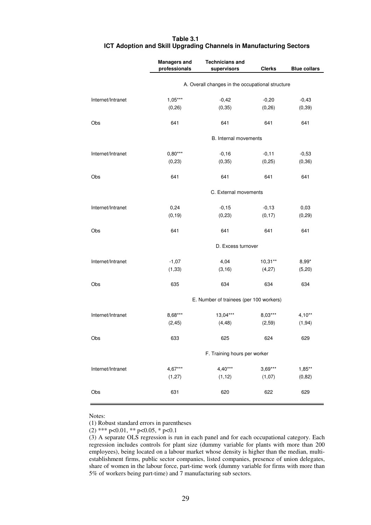| Table 3.1 |                                                                    |
|-----------|--------------------------------------------------------------------|
|           | ICT Adoption and Skill Upgrading Channels in Manufacturing Sectors |

|                   | <b>Managers and</b>                              | <b>Technicians and</b>                  |               |                     |  |
|-------------------|--------------------------------------------------|-----------------------------------------|---------------|---------------------|--|
|                   | professionals                                    | supervisors                             | <b>Clerks</b> | <b>Blue collars</b> |  |
|                   | A. Overall changes in the occupational structure |                                         |               |                     |  |
| Internet/Intranet | $1,05***$                                        | $-0,42$                                 | $-0,20$       | $-0,43$             |  |
|                   | (0, 26)                                          | (0, 35)                                 | (0, 26)       | (0, 39)             |  |
| Obs               | 641                                              | 641                                     | 641           | 641                 |  |
|                   |                                                  | B. Internal movements                   |               |                     |  |
| Internet/Intranet | $0,80***$                                        | $-0,16$                                 | $-0,11$       | $-0,53$             |  |
|                   | (0, 23)                                          | (0, 35)                                 | (0, 25)       | (0, 36)             |  |
| Obs               | 641                                              | 641                                     | 641           | 641                 |  |
|                   |                                                  | C. External movements                   |               |                     |  |
| Internet/Intranet | 0,24                                             | $-0,15$                                 | $-0,13$       | 0,03                |  |
|                   | (0, 19)                                          | (0, 23)                                 | (0, 17)       | (0, 29)             |  |
| Obs               | 641                                              | 641                                     | 641           | 641                 |  |
|                   |                                                  | D. Excess turnover                      |               |                     |  |
| Internet/Intranet | $-1,07$                                          | 4,04                                    | $10,31***$    | $8,99*$             |  |
|                   | (1, 33)                                          | (3, 16)                                 | (4,27)        | (5, 20)             |  |
| Obs               | 635                                              | 634                                     | 634           | 634                 |  |
|                   |                                                  | E. Number of trainees (per 100 workers) |               |                     |  |
| Internet/Intranet | 8,68***                                          | 13,04***                                | 8,03***       | $4,10**$            |  |
|                   | (2, 45)                                          | (4, 48)                                 | (2,59)        | (1, 94)             |  |
| Obs               | 633                                              | 625                                     | 624           | 629                 |  |
|                   |                                                  | F. Training hours per worker            |               |                     |  |
| Internet/Intranet | $4,67***$                                        | $4,40***$                               | $3,69***$     | $1,85**$            |  |
|                   | (1, 27)                                          | (1, 12)                                 | (1,07)        | (0,82)              |  |
| Obs               | 631                                              | 620                                     | 622           | 629                 |  |

Notes:

(1) Robust standard errors in parentheses

(2) \*\*\* p<0.01, \*\* p<0.05, \* p<0.1

<sup>(3)</sup> A separate OLS regression is run in each panel and for each occupational category. Each regression includes controls for plant size (dummy variable for plants with more than 200 employees), being located on a labour market whose density is higher than the median, multiestablishment firms, public sector companies, listed companies, presence of union delegates, share of women in the labour force, part-time work (dummy variable for firms with more than 5% of workers being part-time) and 7 manufacturing sub sectors.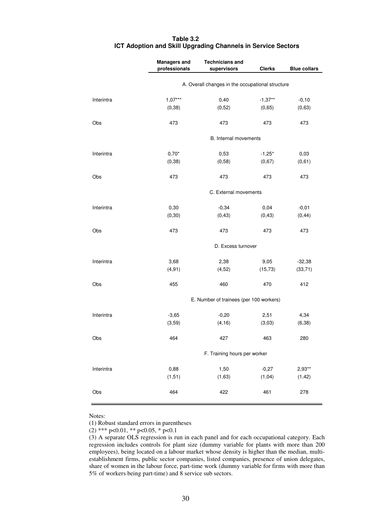|            | <b>Managers and</b>                              | <b>Technicians and</b>                  |               |                     |  |  |
|------------|--------------------------------------------------|-----------------------------------------|---------------|---------------------|--|--|
|            | professionals                                    | supervisors                             | <b>Clerks</b> | <b>Blue collars</b> |  |  |
|            | A. Overall changes in the occupational structure |                                         |               |                     |  |  |
| Interintra | $1,07***$                                        | 0,40                                    | $-1,37**$     | $-0,10$             |  |  |
|            | (0, 38)                                          | (0, 52)                                 | (0,65)        | (0,63)              |  |  |
| Obs        | 473                                              | 473                                     | 473           | 473                 |  |  |
|            |                                                  | B. Internal movements                   |               |                     |  |  |
| Interintra | $0,70*$                                          | 0,53                                    | $-1,25*$      | 0,03                |  |  |
|            | (0, 38)                                          | (0, 58)                                 | (0,67)        | (0,61)              |  |  |
| Obs        | 473                                              | 473                                     | 473           | 473                 |  |  |
|            |                                                  | C. External movements                   |               |                     |  |  |
| Interintra | 0,30                                             | $-0,34$                                 | 0,04          | $-0,01$             |  |  |
|            | (0, 30)                                          | (0, 43)                                 | (0, 43)       | (0, 44)             |  |  |
| Obs        | 473                                              | 473                                     | 473           | 473                 |  |  |
|            |                                                  | D. Excess turnover                      |               |                     |  |  |
| Interintra | 3,68                                             | 2,38                                    | 9,05          | $-32,38$            |  |  |
|            | (4, 91)                                          | (4, 52)                                 | (15, 73)      | (33,71)             |  |  |
| Obs        | 455                                              | 460                                     | 470           | 412                 |  |  |
|            |                                                  | E. Number of trainees (per 100 workers) |               |                     |  |  |
| Interintra | $-3,65$                                          | $-0,20$                                 | 2,51          | 4,34                |  |  |
|            | (3,59)                                           | (4, 16)                                 | (3,03)        | (6, 38)             |  |  |
| Obs        | 464                                              | 427                                     | 463           | 280                 |  |  |
|            |                                                  | F. Training hours per worker            |               |                     |  |  |
| Interintra | 0,88                                             | 1,50                                    | $-0,27$       | $2,93**$            |  |  |
|            | (1, 51)                                          | (1,63)                                  | (1, 04)       | (1, 42)             |  |  |
| Obs        | 464                                              | 422                                     | 461           | 278                 |  |  |

### **Table 3.2 ICT Adoption and Skill Upgrading Channels in Service Sectors**

Notes:

(1) Robust standard errors in parentheses

(2) \*\*\* p<0.01, \*\* p<0.05, \* p<0.1

<sup>(3)</sup> A separate OLS regression is run in each panel and for each occupational category. Each regression includes controls for plant size (dummy variable for plants with more than 200 employees), being located on a labour market whose density is higher than the median, multiestablishment firms, public sector companies, listed companies, presence of union delegates, share of women in the labour force, part-time work (dummy variable for firms with more than 5% of workers being part-time) and 8 service sub sectors.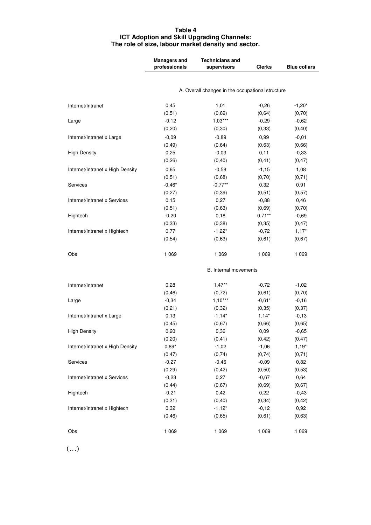### **Table 4 ICT Adoption and Skill Upgrading Channels: The role of size, labour market density and sector.**

|                                  | <b>Managers and</b> | <b>Technicians and</b>                           |               |                     |
|----------------------------------|---------------------|--------------------------------------------------|---------------|---------------------|
|                                  | professionals       | supervisors                                      | <b>Clerks</b> | <b>Blue collars</b> |
|                                  |                     |                                                  |               |                     |
|                                  |                     | A. Overall changes in the occupational structure |               |                     |
| Internet/Intranet                | 0,45                | 1,01                                             | $-0,26$       | $-1,20*$            |
|                                  | (0,51)              | (0,69)                                           | (0,64)        | (0, 70)             |
| Large                            | $-0,12$             | $1,03***$                                        | $-0,29$       | $-0,62$             |
|                                  | (0, 20)             | (0, 30)                                          | (0, 33)       | (0, 40)             |
| Internet/Intranet x Large        | $-0,09$             | $-0,89$                                          | 0,99          | $-0,01$             |
|                                  | (0, 49)             | (0, 64)                                          | (0,63)        | (0,66)              |
| <b>High Density</b>              | 0,25                | $-0,03$                                          | 0,11          | $-0,33$             |
|                                  | (0, 26)             | (0, 40)                                          | (0, 41)       | (0, 47)             |
| Internet/Intranet x High Density | 0,65                | $-0,58$                                          | $-1,15$       | 1,08                |
|                                  | (0,51)              | (0,68)                                           | (0, 70)       | (0, 71)             |
| Services                         | $-0,46*$            | $-0,77***$                                       | 0,32          | 0,91                |
|                                  | (0, 27)             | (0, 39)                                          | (0,51)        | (0, 57)             |
| Internet/Intranet x Services     | 0,15                | 0,27                                             | $-0,88$       | 0,46                |
|                                  | (0,51)              | (0,63)                                           | (0,69)        | (0, 70)             |
| Hightech                         | $-0,20$             | 0,18                                             | $0,71***$     | $-0,69$             |
|                                  | (0, 33)             | (0, 38)                                          | (0, 35)       | (0, 47)             |
| Internet/Intranet x Hightech     | 0,77                | $-1,22*$                                         | $-0,72$       | $1,17*$             |
|                                  | (0, 54)             | (0,63)                                           | (0,61)        | (0,67)              |
| Obs                              | 1 0 6 9             | 1 0 6 9                                          | 1 0 6 9       | 1 0 6 9             |
|                                  |                     | B. Internal movements                            |               |                     |
| Internet/Intranet                | 0,28                | $1,47**$                                         | $-0,72$       | $-1,02$             |
|                                  | (0, 46)             | (0, 72)                                          | (0,61)        | (0, 70)             |
| Large                            | $-0,34$             | $1,10***$                                        | $-0,61*$      | $-0,16$             |
|                                  | (0, 21)             | (0, 32)                                          | (0, 35)       | (0, 37)             |
| Internet/Intranet x Large        | 0, 13               | $-1,14*$                                         | $1,14*$       | $-0,13$             |
|                                  | (0, 45)             | (0,67)                                           | (0,66)        | (0,65)              |
| <b>High Density</b>              | 0,20                | 0,36                                             | 0,09          | $-0,65$             |
|                                  | (0, 20)             | (0, 41)                                          | (0, 42)       | (0, 47)             |
| Internet/Intranet x High Density | $0,89*$             | $-1,02$                                          | $-1,06$       | $1,19*$             |
|                                  | (0, 47)             | (0, 74)                                          | (0, 74)       | (0, 71)             |
| Services                         | $-0,27$             | $-0,46$                                          | $-0,09$       | 0,82                |
|                                  | (0, 29)             | (0, 42)                                          | (0, 50)       | (0,53)              |
| Internet/Intranet x Services     | $-0,23$             | 0,27                                             | $-0,67$       | 0,64                |
|                                  | (0, 44)             | (0,67)                                           | (0,69)        | (0,67)              |
| Hightech                         | $-0,21$             | 0,42                                             | 0,22          | $-0,43$             |
|                                  | (0, 31)             | (0, 40)                                          | (0, 34)       | (0, 42)             |
| Internet/Intranet x Hightech     | 0,32                | $-1,12*$                                         | $-0,12$       | 0,92                |
|                                  | (0, 46)             | (0,65)                                           | (0,61)        | (0,63)              |
| Obs                              | 1 0 6 9             | 1 0 6 9                                          | 1 0 6 9       | 1 0 6 9             |

(…)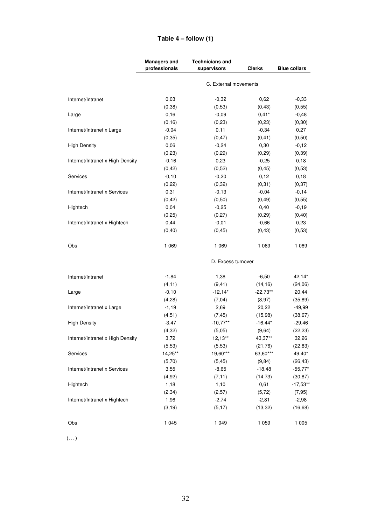|                                  | <b>Managers and</b> | <b>Technicians and</b> |               |                     |
|----------------------------------|---------------------|------------------------|---------------|---------------------|
|                                  | professionals       | supervisors            | <b>Clerks</b> | <b>Blue collars</b> |
|                                  |                     | C. External movements  |               |                     |
|                                  |                     |                        |               |                     |
| Internet/Intranet                | 0,03                | $-0,32$                | 0,62          | $-0,33$             |
|                                  | (0, 38)             | (0,53)                 | (0, 43)       | (0, 55)             |
| Large                            | 0,16                | $-0,09$                | $0,41*$       | $-0,48$             |
|                                  | (0, 16)             | (0, 23)                | (0, 23)       | (0, 30)             |
| Internet/Intranet x Large        | $-0,04$             | 0,11                   | $-0,34$       | 0,27                |
|                                  | (0, 35)             | (0, 47)                | (0, 41)       | (0, 50)             |
| <b>High Density</b>              | 0,06                | $-0,24$                | 0,30          | $-0,12$             |
|                                  | (0, 23)             | (0, 29)                | (0, 29)       | (0, 39)             |
| Internet/Intranet x High Density | $-0,16$             | 0,23                   | $-0,25$       | 0, 18               |
|                                  | (0, 42)             | (0, 52)                | (0, 45)       | (0,53)              |
| Services                         | $-0,10$             | $-0,20$                | 0,12          | 0, 18               |
|                                  | (0, 22)             | (0, 32)                | (0, 31)       | (0, 37)             |
| Internet/Intranet x Services     | 0,31                | $-0,13$                | $-0,04$       | $-0,14$             |
|                                  | (0, 42)             | (0, 50)                | (0, 49)       | (0, 55)             |
| Hightech                         | 0,04                | $-0,25$                | 0,40          | $-0,19$             |
|                                  | (0, 25)             | (0, 27)                | (0, 29)       | (0, 40)             |
| Internet/Intranet x Hightech     | 0,44                | $-0,01$                | $-0,66$       | 0,23                |
|                                  | (0, 40)             | (0, 45)                | (0, 43)       | (0,53)              |
| Obs                              | 1 0 6 9             | 1 0 6 9                | 1 0 6 9       | 1 0 6 9             |
|                                  |                     | D. Excess turnover     |               |                     |
| Internet/Intranet                | $-1,84$             | 1,38                   | $-6,50$       | 42,14*              |
|                                  | (4, 11)             | (9, 41)                | (14, 16)      | (24,06)             |
| Large                            | $-0, 10$            | $-12,14*$              | $-22,73**$    | 20,44               |
|                                  | (4, 28)             | (7, 04)                | (8,97)        | (35, 89)            |
| Internet/Intranet x Large        | $-1,19$             | 2,69                   | 20,22         | $-49,99$            |
|                                  | (4, 51)             | (7, 45)                | (15,98)       | (38, 67)            |
| <b>High Density</b>              | $-3,47$             | $-10,77***$            | $-16,44*$     | $-29,46$            |
|                                  | (4, 32)             | (5,05)                 | (9,64)        | (22, 23)            |
| Internet/Intranet x High Density | 3,72                | $12,13**$              | 43,37**       | 32,26               |
|                                  | (5,53)              | (5,53)                 | (21, 76)      | (22, 83)            |
| Services                         | 14,25**             | 19,60***               | 63,60***      | 49,40*              |
|                                  | (5,70)              | (5, 45)                | (9, 84)       | (26, 43)            |
| Internet/Intranet x Services     | 3,55                | $-8,65$                | $-18,48$      | $-55,77*$           |
|                                  | (4, 92)             | (7, 11)                | (14, 73)      | (30, 87)            |
| Hightech                         | 1,18                | 1,10                   | 0,61          | $-17,53**$          |
|                                  | (2, 34)             | (2, 57)                | (5, 72)       | (7, 95)             |
| Internet/Intranet x Hightech     | 1,96                | $-2,74$                | $-2,81$       | $-2,98$             |
|                                  | (3, 19)             | (5, 17)                | (13, 32)      | (16, 68)            |
| Obs                              | 1 0 4 5             | 1 0 4 9                | 1 0 5 9       | 1 0 0 5             |

# **Table 4 – follow (1)**

(…)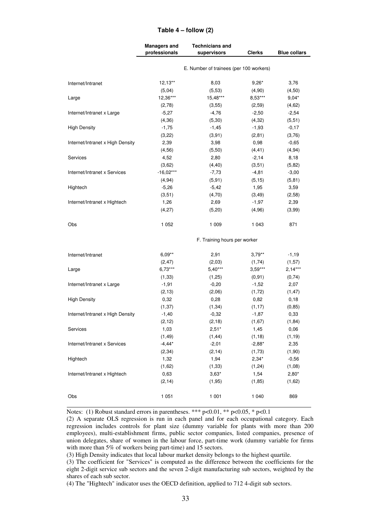### **Table 4 – follow (2)**

|                                  | <b>Managers and</b><br>professionals | <b>Technicians and</b><br>supervisors   | <b>Clerks</b> | <b>Blue collars</b> |
|----------------------------------|--------------------------------------|-----------------------------------------|---------------|---------------------|
|                                  |                                      | E. Number of trainees (per 100 workers) |               |                     |
| Internet/Intranet                | $12,13**$                            | 8,03                                    | $9,26*$       | 3,76                |
|                                  | (5,04)                               | (5,53)                                  | (4,90)        | (4, 50)             |
| Large                            | 12,36***                             | 15,48***                                | 8,53***       | $9,04*$             |
|                                  | (2,78)                               | (3, 55)                                 | (2, 59)       | (4,62)              |
| Internet/Intranet x Large        | $-5,27$                              | $-4,76$                                 | $-2,50$       | $-2,54$             |
|                                  | (4, 36)                              | (5,30)                                  | (4, 32)       | (5, 51)             |
| <b>High Density</b>              | $-1,75$                              | $-1,45$                                 | $-1,93$       | $-0,17$             |
|                                  | (3,22)                               | (3, 91)                                 | (2, 81)       | (3,76)              |
| Internet/Intranet x High Density | 2,39                                 | 3,98                                    | 0,98          | $-0,65$             |
|                                  | (4, 56)                              | (5, 50)                                 | (4, 41)       | (4, 94)             |
| Services                         | 4,52                                 | 2,80                                    | $-2,14$       | 8,18                |
|                                  | (3,62)                               | (4, 40)                                 | (3,51)        | (5, 82)             |
| Internet/Intranet x Services     | $-16,02***$                          | $-7,73$                                 | $-4,81$       | $-3,00$             |
|                                  | (4, 94)                              | (5, 91)                                 | (5, 15)       | (5, 81)             |
| Hightech                         | $-5,26$                              | $-5,42$                                 | 1,95          | 3,59                |
|                                  | (3,51)                               | (4,70)                                  | (3, 49)       | (2,58)              |
| Internet/Intranet x Hightech     | 1,26                                 | 2,69                                    | $-1,97$       | 2,39                |
|                                  | (4,27)                               | (5, 20)                                 | (4,96)        | (3,99)              |
| Obs                              | 1 0 5 2                              | 1 0 0 9                                 | 1 0 4 3       | 871                 |
|                                  |                                      | F. Training hours per worker            |               |                     |
| Internet/Intranet                | $6,09**$                             | 2,91                                    | $3,79**$      | $-1,19$             |
|                                  | (2, 47)                              | (2,03)                                  | (1, 74)       | (1, 57)             |
| Large                            | $6,73***$                            | $5,40***$                               | $3,59***$     | $2,14***$           |
|                                  | (1, 33)                              | (1,25)                                  | (0, 91)       | (0, 74)             |
| Internet/Intranet x Large        | $-1,91$                              | $-0,20$                                 | $-1,52$       | 2,07                |
|                                  | (2, 13)                              | (2,06)                                  | (1, 72)       | (1, 47)             |
| <b>High Density</b>              | 0,32                                 | 0,28                                    | 0,82          | 0,18                |
|                                  | (1, 37)                              | (1, 34)                                 | (1, 17)       | (0, 85)             |
| Internet/Intranet x High Density | $-1,40$                              | $-0,32$                                 | $-1,87$       | 0,33                |
|                                  | (2, 12)                              | (2, 18)                                 | (1,67)        | (1, 84)             |
| Services                         | 1,03                                 | $2,51*$                                 | 1,45          | 0,06                |
|                                  | (1, 49)                              | (1, 44)                                 | (1, 18)       | (1, 19)             |
| Internet/Intranet x Services     | $-4,44*$                             | $-2,01$                                 | $-2,88*$      | 2,35                |
|                                  | (2, 34)                              | (2, 14)                                 | (1,73)        | (1, 90)             |
| Hightech                         | 1,32                                 | 1,94                                    | $2,34*$       | $-0,56$             |
|                                  | (1,62)                               | (1, 33)                                 | (1, 24)       | (1,08)              |
| Internet/Intranet x Hightech     | 0,63                                 | $3,63*$                                 | 1,54          | $2,80*$             |
|                                  | (2, 14)                              | (1, 95)                                 | (1, 85)       | (1,62)              |
| Obs                              | 1 0 5 1                              | 1 0 0 1                                 | 1 0 4 0       | 869                 |
|                                  |                                      |                                         |               |                     |

Notes: (1) Robust standard errors in parentheses. \*\*\* p<0.01, \*\* p<0.05, \* p<0.1

(2) A separate OLS regression is run in each panel and for each occupational category. Each regression includes controls for plant size (dummy variable for plants with more than 200 employees), multi-establishment firms, public sector companies, listed companies, presence of union delegates, share of women in the labour force, part-time work (dummy variable for firms with more than 5% of workers being part-time) and 15 sectors.

(3) High Density indicates that local labour market density belongs to the highest quartile.

<sup>(3)</sup> The coefficient for "Services" is computed as the difference between the coefficients for the eight 2-digit service sub sectors and the seven 2-digit manufacturing sub sectors, weighted by the shares of each sub sector.

<sup>(4)</sup> The "Hightech" indicator uses the OECD definition, applied to 712 4-digit sub sectors.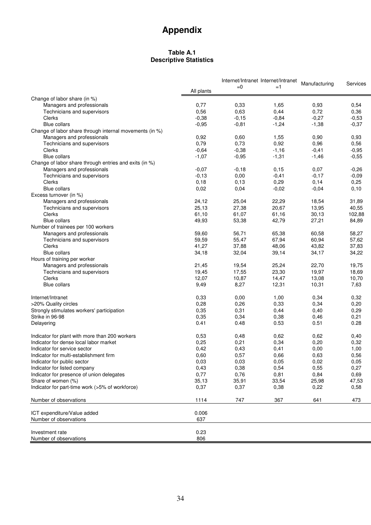# **Appendix**

# **Table A.1 Descriptive Statistics**

|                                                         |            | Internet/Intranet Internet/Intranet<br>Manufacturing |         |         |                 |
|---------------------------------------------------------|------------|------------------------------------------------------|---------|---------|-----------------|
|                                                         | All plants | $= 0$                                                | $=1$    |         | <b>Services</b> |
| Change of labor share (in %)                            |            |                                                      |         |         |                 |
| Managers and professionals                              | 0,77       | 0,33                                                 | 1,65    | 0,93    | 0,54            |
| Technicians and supervisors                             | 0,56       | 0,63                                                 | 0,44    | 0,72    | 0,36            |
| Clerks                                                  | $-0,38$    | $-0,15$                                              | $-0,84$ | $-0,27$ | $-0,53$         |
| <b>Blue collars</b>                                     | $-0,95$    | $-0,81$                                              | $-1,24$ | $-1,38$ | $-0,37$         |
| Change of labor share through internal movements (in %) |            |                                                      |         |         |                 |
| Managers and professionals                              | 0,92       | 0,60                                                 | 1,55    | 0,90    | 0,93            |
| Technicians and supervisors                             | 0,79       | 0,73                                                 | 0,92    | 0,96    | 0,56            |
| Clerks                                                  | $-0,64$    | $-0,38$                                              | $-1,16$ | $-0,41$ | $-0,95$         |
| <b>Blue collars</b>                                     | $-1,07$    | $-0,95$                                              | $-1,31$ | $-1,46$ | $-0,55$         |
| Change of labor share through entries and exits (in %)  |            |                                                      |         |         |                 |
| Managers and professionals                              | $-0,07$    | $-0,18$                                              | 0, 15   | 0,07    | $-0,26$         |
| Technicians and supervisors                             | $-0, 13$   | 0,00                                                 | $-0,41$ | $-0,17$ | $-0,09$         |
| Clerks                                                  | 0,18       | 0,13                                                 | 0,29    | 0,14    | 0,25            |
| <b>Blue collars</b>                                     | 0,02       | 0,04                                                 | $-0,02$ | $-0,04$ | 0,10            |
| Excess turnover (in %)                                  |            |                                                      |         |         |                 |
| Managers and professionals                              | 24,12      | 25,04                                                | 22,29   | 18,54   | 31,89           |
| Technicians and supervisors                             | 25,13      | 27,38                                                | 20,67   | 13,95   | 40,55           |
| Clerks                                                  | 61,10      | 61,07                                                | 61,16   | 30,13   | 102,88          |
| <b>Blue collars</b>                                     | 49,93      | 53,38                                                | 42,79   | 27,21   | 84,89           |
| Number of trainees per 100 workers                      |            |                                                      |         |         |                 |
| Managers and professionals                              | 59,60      | 56,71                                                | 65,38   | 60,58   | 58,27           |
| Technicians and supervisors                             | 59,59      | 55,47                                                | 67,94   | 60,94   | 57,62           |
| Clerks                                                  | 41,27      | 37,88                                                | 48,06   | 43,82   | 37,83           |
| <b>Blue collars</b>                                     | 34,18      | 32,04                                                | 39,14   | 34,17   | 34,22           |
| Hours of training per worker                            |            |                                                      |         |         |                 |
| Managers and professionals                              | 21,45      | 19,54                                                | 25,24   | 22,70   | 19,75           |
| Technicians and supervisors                             | 19,45      | 17,55                                                | 23,30   | 19,97   | 18,69           |
| Clerks                                                  | 12,07      | 10,87                                                | 14,47   | 13,08   | 10,70           |
| <b>Blue collars</b>                                     | 9,49       | 8,27                                                 | 12,31   | 10,31   | 7,63            |
| Internet/Intranet                                       | 0,33       | 0,00                                                 | 1,00    | 0,34    | 0,32            |
| >20% Quality circles                                    | 0,28       | 0,26                                                 | 0,33    | 0,34    | 0,20            |
| Strongly stimulates workers' participation              | 0,35       | 0,31                                                 | 0,44    | 0,40    | 0,29            |
| Strike in 96-98                                         | 0,35       | 0,34                                                 | 0,38    | 0,46    | 0,21            |
| Delayering                                              | 0.41       | 0.48                                                 | 0.53    | 0.51    | 0.28            |
|                                                         |            |                                                      |         |         |                 |
| Indicator for plant with more than 200 workers          | 0,53       | 0,48                                                 | 0,62    | 0,62    | 0,40            |
| Indicator for dense local labor market                  | 0,25       | 0,21                                                 | 0,34    | 0,20    | 0,32            |
| Indicator for service sector                            | 0,42       | 0,43                                                 | 0,41    | 0,00    | 1,00            |
| Indicator for multi-establishment firm                  | 0,60       | 0,57                                                 | 0,66    | 0,63    | 0,56            |
| Indicator for public sector                             | 0,03       | 0,03                                                 | 0,05    | 0,02    | 0,05            |
| Indicator for listed company                            | 0,43       | 0,38                                                 | 0,54    | 0,55    | 0,27            |
| Indicator for presence of union delegates               | 0,77       | 0,76                                                 | 0,81    | 0,84    | 0,69            |
| Share of women (%)                                      | 35,13      | 35,91                                                | 33,54   | 25,98   | 47,53           |
| Indicator for part-time work (>5% of workforce)         | 0,37       | 0,37                                                 | 0,38    | 0,22    | 0,58            |
| Number of observations                                  | 1114       | 747                                                  | 367     | 641     | 473             |
| ICT expenditure/Value added                             | 0.006      |                                                      |         |         |                 |
| Number of observations                                  | 637        |                                                      |         |         |                 |
| Investment rate                                         | 0.23       |                                                      |         |         |                 |
| Number of observations                                  | 806        |                                                      |         |         |                 |
|                                                         |            |                                                      |         |         |                 |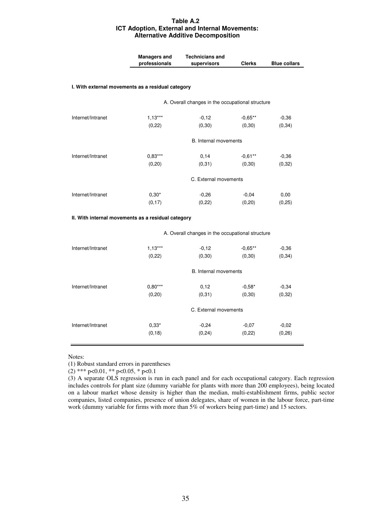### **Table A.2 ICT Adoption, External and Internal Movements: Alternative Additive Decomposition**

|                                                    | <b>Managers and</b><br>professionals             | <b>Technicians and</b><br>supervisors            | <b>Clerks</b>         | <b>Blue collars</b> |  |  |
|----------------------------------------------------|--------------------------------------------------|--------------------------------------------------|-----------------------|---------------------|--|--|
| I. With external movements as a residual category  |                                                  |                                                  |                       |                     |  |  |
|                                                    | A. Overall changes in the occupational structure |                                                  |                       |                     |  |  |
| Internet/Intranet                                  | $1,13***$<br>(0, 22)                             | $-0,12$<br>(0, 30)                               | $-0,65***$<br>(0, 30) | $-0,36$<br>(0, 34)  |  |  |
|                                                    |                                                  | <b>B.</b> Internal movements                     |                       |                     |  |  |
| Internet/Intranet                                  | $0,83***$<br>(0, 20)                             | 0,14<br>(0, 31)                                  | $-0,61***$<br>(0, 30) | $-0,36$<br>(0, 32)  |  |  |
|                                                    |                                                  | C. External movements                            |                       |                     |  |  |
| Internet/Intranet                                  | $0,30*$<br>(0, 17)                               | $-0,26$<br>(0, 22)                               | $-0,04$<br>(0, 20)    | 0,00<br>(0, 25)     |  |  |
| II. With internal movements as a residual category |                                                  |                                                  |                       |                     |  |  |
|                                                    |                                                  | A. Overall changes in the occupational structure |                       |                     |  |  |
| Internet/Intranet                                  | $1,13***$<br>(0, 22)                             | $-0,12$<br>(0, 30)                               | $-0,65**$<br>(0, 30)  | $-0,36$<br>(0, 34)  |  |  |
|                                                    |                                                  | B. Internal movements                            |                       |                     |  |  |
| Internet/Intranet                                  | $0,80***$<br>(0, 20)                             | 0,12<br>(0, 31)                                  | $-0,58*$<br>(0, 30)   | $-0,34$<br>(0, 32)  |  |  |
|                                                    |                                                  | C. External movements                            |                       |                     |  |  |
| Internet/Intranet                                  | $0,33*$<br>(0, 18)                               | $-0,24$<br>(0, 24)                               | $-0,07$<br>(0, 22)    | $-0,02$<br>(0, 26)  |  |  |

Notes:

(1) Robust standard errors in parentheses

(2) \*\*\* p<0.01, \*\* p<0.05, \* p<0.1

(3) A separate OLS regression is run in each panel and for each occupational category. Each regression includes controls for plant size (dummy variable for plants with more than 200 employees), being located on a labour market whose density is higher than the median, multi-establishment firms, public sector companies, listed companies, presence of union delegates, share of women in the labour force, part-time work (dummy variable for firms with more than 5% of workers being part-time) and 15 sectors.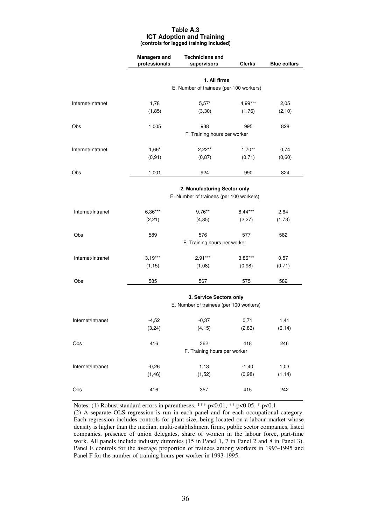#### **Table A.3 ICT Adoption and Training (controls for lagged training included)**

|                   | <b>Managers and</b> | <b>Technicians and</b>                                  |               |                     |
|-------------------|---------------------|---------------------------------------------------------|---------------|---------------------|
|                   | professionals       | supervisors                                             | <b>Clerks</b> | <b>Blue collars</b> |
|                   |                     |                                                         |               |                     |
|                   |                     | 1. All firms<br>E. Number of trainees (per 100 workers) |               |                     |
|                   |                     |                                                         |               |                     |
| Internet/Intranet | 1,78                | $5,57*$                                                 | 4,99***       | 2,05                |
|                   | (1, 85)             | (3, 30)                                                 | (1,76)        | (2,10)              |
| Obs               | 1 0 0 5             | 938                                                     | 995           | 828                 |
|                   |                     | F. Training hours per worker                            |               |                     |
| Internet/Intranet | $1,66*$             | $2,22***$                                               | $1,70**$      | 0,74                |
|                   | (0, 91)             | (0, 87)                                                 | (0,71)        | (0,60)              |
| Obs               | 1 0 0 1             | 924                                                     | 990           | 824                 |
|                   |                     | 2. Manufacturing Sector only                            |               |                     |
|                   |                     | E. Number of trainees (per 100 workers)                 |               |                     |
| Internet/Intranet | $6,36***$           | $9,76***$                                               | $8,44***$     | 2,64                |
|                   | (2, 21)             | (4, 85)                                                 | (2, 27)       | (1,73)              |
| Obs               | 589                 | 576                                                     | 577           | 582                 |
|                   |                     | F. Training hours per worker                            |               |                     |
| Internet/Intranet | $3,19***$           | $2,91***$                                               | $3,86***$     | 0,57                |
|                   | (1, 15)             | (1,08)                                                  | (0,98)        | (0, 71)             |
| Obs               | 585                 | 567                                                     | 575           | 582                 |
|                   |                     | 3. Service Sectors only                                 |               |                     |
|                   |                     | E. Number of trainees (per 100 workers)                 |               |                     |
| Internet/Intranet | $-4,52$             | $-0,37$                                                 | 0,71          | 1,41                |
|                   | (3, 24)             | (4, 15)                                                 | (2, 83)       | (6, 14)             |
| Obs               | 416                 | 362                                                     | 418           | 246                 |
|                   |                     | F. Training hours per worker                            |               |                     |
| Internet/Intranet | $-0,26$             | 1,13                                                    | $-1,40$       | 1,03                |
|                   | (1, 46)             | (1,52)                                                  | (0,98)        | (1, 14)             |
| Obs               | 416                 | 357                                                     | 415           | 242                 |

Notes: (1) Robust standard errors in parentheses. \*\*\*  $p<0.01$ , \*\*  $p<0.05$ , \*  $p<0.1$ (2) A separate OLS regression is run in each panel and for each occupational category.

Each regression includes controls for plant size, being located on a labour market whose density is higher than the median, multi-establishment firms, public sector companies, listed companies, presence of union delegates, share of women in the labour force, part-time work. All panels include industry dummies (15 in Panel 1, 7 in Panel 2 and 8 in Panel 3). Panel E controls for the average proportion of trainees among workers in 1993-1995 and Panel F for the number of training hours per worker in 1993-1995.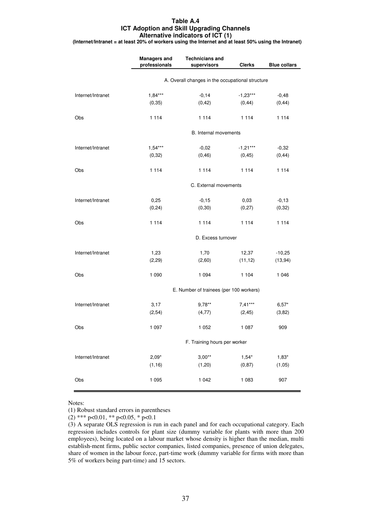#### **Table A.4 ICT Adoption and Skill Upgrading Channels Alternative indicators of ICT (1)**

**(Internet/Intranet = at least 20% of workers using the Internet and at least 50% using the Intranet)**

|                   | <b>Managers and</b><br>professionals             | <b>Technicians and</b><br>supervisors   | <b>Clerks</b>         | <b>Blue collars</b>  |  |
|-------------------|--------------------------------------------------|-----------------------------------------|-----------------------|----------------------|--|
|                   | A. Overall changes in the occupational structure |                                         |                       |                      |  |
| Internet/Intranet | $1,84***$<br>(0, 35)                             | $-0,14$<br>(0, 42)                      | $-1,23***$<br>(0, 44) | $-0,48$<br>(0, 44)   |  |
| Obs               | 1 1 1 4                                          | 1 1 1 4                                 | 1 1 1 4               | 1 1 1 4              |  |
|                   |                                                  | B. Internal movements                   |                       |                      |  |
| Internet/Intranet | $1,54***$<br>(0, 32)                             | $-0,02$<br>(0, 46)                      | $-1,21***$<br>(0, 45) | $-0,32$<br>(0, 44)   |  |
| Obs               | 1 1 1 4                                          | 1 1 1 4                                 | 1 1 1 4               | 1 1 1 4              |  |
|                   |                                                  | C. External movements                   |                       |                      |  |
| Internet/Intranet | 0,25<br>(0, 24)                                  | $-0, 15$<br>(0, 30)                     | 0,03<br>(0, 27)       | $-0,13$<br>(0, 32)   |  |
| Obs               | 1 1 1 4                                          | 1 1 1 4                                 | 1 1 1 4               | 1 1 1 4              |  |
|                   |                                                  | D. Excess turnover                      |                       |                      |  |
| Internet/Intranet | 1,23<br>(2, 29)                                  | 1,70<br>(2,60)                          | 12,37<br>(11, 12)     | $-10,25$<br>(13, 94) |  |
| Obs               | 1 0 9 0                                          | 1 0 9 4                                 | 1 1 0 4               | 1 0 4 6              |  |
|                   |                                                  | E. Number of trainees (per 100 workers) |                       |                      |  |
| Internet/Intranet | 3,17<br>(2,54)                                   | $9,78**$<br>(4, 77)                     | $7,41***$<br>(2, 45)  | $6,57*$<br>(3,82)    |  |
| Obs               | 1 0 9 7                                          | 1 0 5 2                                 | 1 0 8 7               | 909                  |  |
|                   |                                                  | F. Training hours per worker            |                       |                      |  |
| Internet/Intranet | $2,09*$<br>(1, 16)                               | $3,00**$<br>(1,20)                      | $1,54*$<br>(0, 87)    | $1,83*$<br>(1,05)    |  |
| Obs               | 1 0 9 5                                          | 1 0 4 2                                 | 1 0 8 3               | 907                  |  |

Notes:

(1) Robust standard errors in parentheses

(2) \*\*\* p<0.01, \*\* p<0.05, \* p<0.1

<sup>(3)</sup> A separate OLS regression is run in each panel and for each occupational category. Each regression includes controls for plant size (dummy variable for plants with more than 200 employees), being located on a labour market whose density is higher than the median, multi establish-ment firms, public sector companies, listed companies, presence of union delegates, share of women in the labour force, part-time work (dummy variable for firms with more than 5% of workers being part-time) and 15 sectors.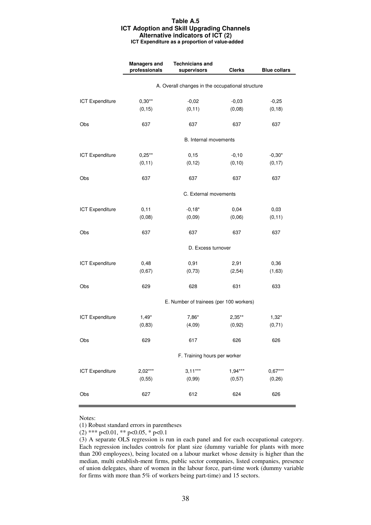#### **Table A.5 ICT Adoption and Skill Upgrading Channels Alternative indicators of ICT (2) ICT Expenditure as a proportion of value-added**

|                        | <b>Managers and</b>                              | <b>Technicians and</b>                  |               |                     |  |
|------------------------|--------------------------------------------------|-----------------------------------------|---------------|---------------------|--|
|                        | professionals                                    | supervisors                             | <b>Clerks</b> | <b>Blue collars</b> |  |
|                        | A. Overall changes in the occupational structure |                                         |               |                     |  |
| <b>ICT Expenditure</b> | $0,30**$                                         | $-0,02$                                 | $-0,03$       | $-0,25$             |  |
|                        | (0, 15)                                          | (0, 11)                                 | (0,08)        | (0, 18)             |  |
| Obs                    | 637                                              | 637                                     | 637           | 637                 |  |
|                        |                                                  | B. Internal movements                   |               |                     |  |
| <b>ICT Expenditure</b> | $0,25**$                                         | 0,15                                    | $-0,10$       | $-0,30*$            |  |
|                        | (0, 11)                                          | (0, 12)                                 | (0, 10)       | (0, 17)             |  |
| Obs                    | 637                                              | 637                                     | 637           | 637                 |  |
|                        |                                                  | C. External movements                   |               |                     |  |
| <b>ICT Expenditure</b> | 0,11                                             | $-0,18*$                                | 0,04          | 0,03                |  |
|                        | (0,08)                                           | (0,09)                                  | (0,06)        | (0, 11)             |  |
| Obs                    | 637                                              | 637                                     | 637           | 637                 |  |
|                        | D. Excess turnover                               |                                         |               |                     |  |
| <b>ICT Expenditure</b> | 0,48                                             | 0,91                                    | 2,91          | 0,36                |  |
|                        | (0,67)                                           | (0, 73)                                 | (2, 54)       | (1,63)              |  |
| Obs                    | 629                                              | 628                                     | 631           | 633                 |  |
|                        |                                                  | E. Number of trainees (per 100 workers) |               |                     |  |
| <b>ICT Expenditure</b> | $1,49*$                                          | 7,86*                                   | $2,35***$     | $1,32*$             |  |
|                        | (0, 83)                                          | (4,09)                                  | (0, 92)       | (0, 71)             |  |
| Obs                    | 629                                              | 617                                     | 626           | 626                 |  |
|                        |                                                  | F. Training hours per worker            |               |                     |  |
| <b>ICT Expenditure</b> | $2,02***$                                        | $3,11***$                               | $1,94***$     | $0,67***$           |  |
|                        | (0, 55)                                          | (0, 99)                                 | (0,57)        | (0, 26)             |  |
| Obs                    | 627                                              | 612                                     | 624           | 626                 |  |

Notes:

(1) Robust standard errors in parentheses

(2) \*\*\* p<0.01, \*\* p<0.05, \* p<0.1

(3) A separate OLS regression is run in each panel and for each occupational category. Each regression includes controls for plant size (dummy variable for plants with more than 200 employees), being located on a labour market whose density is higher than the median, multi establish-ment firms, public sector companies, listed companies, presence of union delegates, share of women in the labour force, part-time work (dummy variable for firms with more than 5% of workers being part-time) and 15 sectors.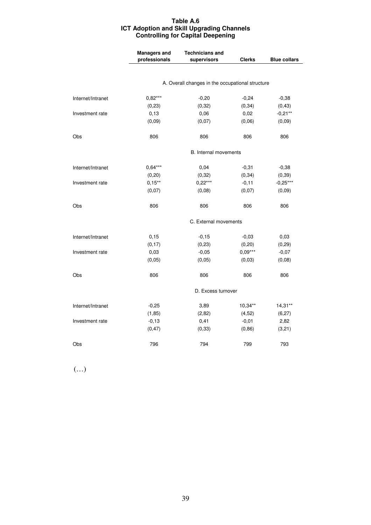### **Table A.6 ICT Adoption and Skill Upgrading Channels Controlling for Capital Deepening**

|                   | <b>Managers and</b><br>professionals | <b>Technicians and</b><br>supervisors            | <b>Clerks</b> | <b>Blue collars</b> |
|-------------------|--------------------------------------|--------------------------------------------------|---------------|---------------------|
|                   |                                      |                                                  |               |                     |
|                   |                                      | A. Overall changes in the occupational structure |               |                     |
| Internet/Intranet | $0,82***$                            | $-0,20$                                          | $-0,24$       | $-0,38$             |
|                   | (0, 23)                              | (0, 32)                                          | (0, 34)       | (0, 43)             |
| Investment rate   | 0, 13                                | 0,06                                             | 0,02          | $-0,21***$          |
|                   | (0,09)                               | (0,07)                                           | (0,06)        | (0,09)              |
| Obs               | 806                                  | 806                                              | 806           | 806                 |
|                   |                                      | <b>B.</b> Internal movements                     |               |                     |
| Internet/Intranet | $0,64***$                            | 0,04                                             | $-0,31$       | $-0,38$             |
|                   | (0, 20)                              | (0, 32)                                          | (0, 34)       | (0, 39)             |
| Investment rate   | $0,15***$                            | $0,22***$                                        | $-0, 11$      | $-0,25***$          |
|                   | (0,07)                               | (0,08)                                           | (0,07)        | (0,09)              |
| Obs               | 806                                  | 806                                              | 806           | 806                 |
|                   |                                      | C. External movements                            |               |                     |
| Internet/Intranet | 0,15                                 | $-0,15$                                          | $-0,03$       | 0,03                |
|                   | (0, 17)                              | (0, 23)                                          | (0, 20)       | (0, 29)             |
| Investment rate   | 0,03                                 | $-0,05$                                          | $0.09***$     | $-0,07$             |
|                   | (0,05)                               | (0,05)                                           | (0,03)        | (0,08)              |
| Obs               | 806                                  | 806                                              | 806           | 806                 |
|                   |                                      | D. Excess turnover                               |               |                     |
| Internet/Intranet | $-0,25$                              | 3,89                                             | 10,34**       | $14,31**$           |
|                   | (1, 85)                              | (2,82)                                           | (4, 52)       | (6, 27)             |
| Investment rate   | $-0,13$                              | 0,41                                             | $-0,01$       | 2,82                |
|                   | (0, 47)                              | (0, 33)                                          | (0, 86)       | (3,21)              |
| Obs               | 796                                  | 794                                              | 799           | 793                 |

(…)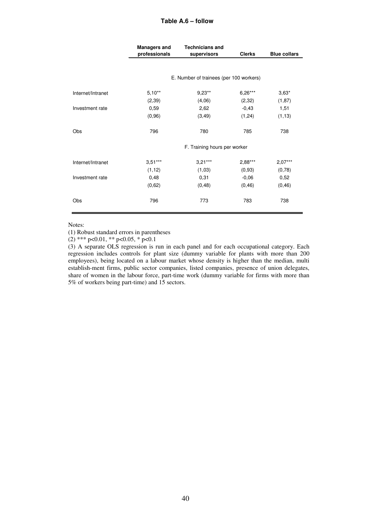### **Table A.6 – follow**

|                   | <b>Managers and</b> | <b>Technicians and</b>                  |               |                     |  |
|-------------------|---------------------|-----------------------------------------|---------------|---------------------|--|
|                   | professionals       | supervisors                             | <b>Clerks</b> | <b>Blue collars</b> |  |
|                   |                     |                                         |               |                     |  |
|                   |                     |                                         |               |                     |  |
|                   |                     | E. Number of trainees (per 100 workers) |               |                     |  |
| Internet/Intranet | $5,10**$            | $9,23**$                                | $6,26***$     | $3,63*$             |  |
|                   | (2, 39)             | (4,06)                                  | (2, 32)       | (1, 87)             |  |
| Investment rate   | 0,59                | 2,62                                    | $-0,43$       | 1,51                |  |
|                   | (0, 96)             | (3, 49)                                 | (1, 24)       | (1, 13)             |  |
|                   |                     |                                         |               |                     |  |
| Obs               | 796                 | 780                                     | 785           | 738                 |  |
|                   |                     |                                         |               |                     |  |
|                   |                     | F. Training hours per worker            |               |                     |  |
| Internet/Intranet | $3,51***$           | $3,21***$                               | $2,88***$     | $2,07***$           |  |
|                   | (1, 12)             | (1,03)                                  | (0, 93)       | (0, 78)             |  |
| Investment rate   | 0,48                | 0,31                                    | $-0,06$       | 0,52                |  |
|                   | (0,62)              | (0, 48)                                 | (0, 46)       | (0, 46)             |  |
| Obs               | 796                 | 773                                     | 783           | 738                 |  |
|                   |                     |                                         |               |                     |  |

Notes:

(1) Robust standard errors in parentheses

 $(2)$  \*\*\* p<0.01, \*\* p<0.05, \* p<0.1

(3) A separate OLS regression is run in each panel and for each occupational category. Each regression includes controls for plant size (dummy variable for plants with more than 200 employees), being located on a labour market whose density is higher than the median, multi establish-ment firms, public sector companies, listed companies, presence of union delegates, share of women in the labour force, part-time work (dummy variable for firms with more than 5% of workers being part-time) and 15 sectors.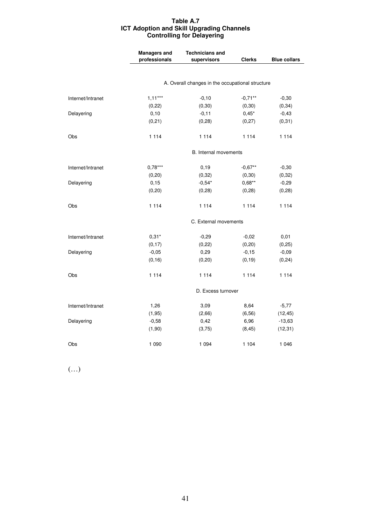### **Table A.7 ICT Adoption and Skill Upgrading Channels Controlling for Delayering**

|                   | <b>Managers and</b><br>professionals             | <b>Technicians and</b><br>supervisors | <b>Clerks</b> | <b>Blue collars</b> |  |
|-------------------|--------------------------------------------------|---------------------------------------|---------------|---------------------|--|
|                   |                                                  |                                       |               |                     |  |
|                   | A. Overall changes in the occupational structure |                                       |               |                     |  |
| Internet/Intranet | $1,11***$                                        | $-0,10$                               | $-0,71**$     | $-0,30$             |  |
|                   | (0, 22)                                          | (0, 30)                               | (0, 30)       | (0, 34)             |  |
| Delayering        | 0,10                                             | $-0,11$                               | $0,45*$       | $-0,43$             |  |
|                   | (0, 21)                                          | (0, 28)                               | (0, 27)       | (0, 31)             |  |
| Obs               | 1 1 1 4                                          | 1 1 1 4                               | 1 1 1 4       | 1 1 1 4             |  |
|                   |                                                  | B. Internal movements                 |               |                     |  |
| Internet/Intranet | $0,78***$                                        | 0, 19                                 | $-0,67**$     | $-0,30$             |  |
|                   | (0, 20)                                          | (0, 32)                               | (0,30)        | (0, 32)             |  |
| Delayering        | 0,15                                             | $-0,54*$                              | $0,68**$      | $-0,29$             |  |
|                   | (0, 20)                                          | (0, 28)                               | (0, 28)       | (0, 28)             |  |
| Obs               | 1 1 1 4                                          | 1 1 1 4                               | 1 1 1 4       | 1 1 1 4             |  |
|                   |                                                  | C. External movements                 |               |                     |  |
| Internet/Intranet | $0,31*$                                          | $-0,29$                               | $-0,02$       | 0,01                |  |
|                   | (0, 17)                                          | (0, 22)                               | (0, 20)       | (0, 25)             |  |
| Delayering        | $-0,05$                                          | 0,29                                  | $-0,15$       | $-0,09$             |  |
|                   | (0, 16)                                          | (0, 20)                               | (0, 19)       | (0, 24)             |  |
| Obs               | 1 1 1 4                                          | 1 1 1 4                               | 1 1 1 4       | 1 1 1 4             |  |
|                   |                                                  | D. Excess turnover                    |               |                     |  |
| Internet/Intranet | 1,26                                             | 3,09                                  | 8,64          | $-5,77$             |  |
|                   | (1, 95)                                          | (2,66)                                | (6, 56)       | (12, 45)            |  |
| Delayering        | $-0,58$                                          | 0,42                                  | 6,96          | $-13,63$            |  |
|                   | (1, 90)                                          | (3,75)                                | (8, 45)       | (12, 31)            |  |
| Obs               | 1 0 9 0                                          | 1 0 9 4                               | 1 1 0 4       | 1 0 4 6             |  |

(…)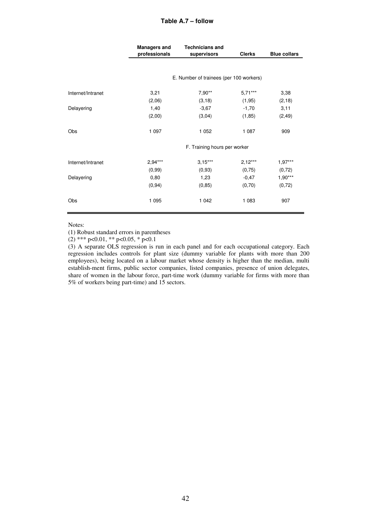### **Table A.7 – follow**

|                   | <b>Managers and</b>          | <b>Technicians and</b>                  |               |                     |
|-------------------|------------------------------|-----------------------------------------|---------------|---------------------|
|                   | professionals                | supervisors                             | <b>Clerks</b> | <b>Blue collars</b> |
|                   |                              |                                         |               |                     |
|                   |                              | E. Number of trainees (per 100 workers) |               |                     |
| Internet/Intranet | 3,21                         | $7,90**$                                | $5.71***$     | 3,38                |
|                   | (2,06)                       | (3, 18)                                 | (1, 95)       | (2, 18)             |
| Delayering        | 1,40                         | $-3,67$                                 | $-1,70$       | 3,11                |
|                   | (2,00)                       | (3,04)                                  | (1, 85)       | (2, 49)             |
| Obs               | 1 0 9 7                      | 1 0 5 2                                 | 1 0 8 7       | 909                 |
|                   | F. Training hours per worker |                                         |               |                     |
| Internet/Intranet | $2,94***$                    | $3,15***$                               | $2,12***$     | $1,97***$           |
|                   | (0, 99)                      | (0, 93)                                 | (0,75)        | (0, 72)             |
| Delayering        | 0,80                         | 1,23                                    | $-0,47$       | $1,90***$           |
|                   | (0, 94)                      | (0, 85)                                 | (0, 70)       | (0, 72)             |
| Obs               | 1 0 9 5                      | 1 0 4 2                                 | 1 0 8 3       | 907                 |

Notes:

(1) Robust standard errors in parentheses

 $(2)$  \*\*\* p<0.01, \*\* p<0.05, \* p<0.1

(3) A separate OLS regression is run in each panel and for each occupational category. Each regression includes controls for plant size (dummy variable for plants with more than 200 employees), being located on a labour market whose density is higher than the median, multi establish-ment firms, public sector companies, listed companies, presence of union delegates, share of women in the labour force, part-time work (dummy variable for firms with more than 5% of workers being part-time) and 15 sectors.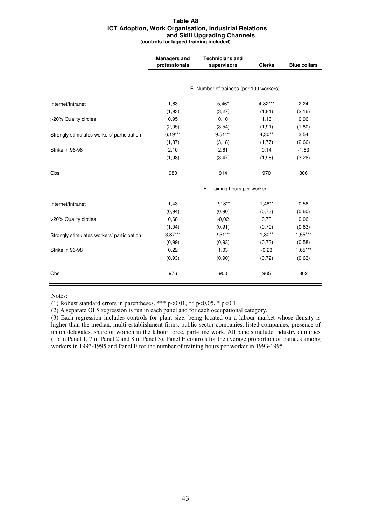#### **Table A8 ICT Adoption, Work Organisation, Industrial Relations and Skill Upgrading Channels (controls for lagged training included)**

|                                            | <b>Managers and</b><br>professionals | <b>Technicians and</b><br>supervisors   | <b>Clerks</b> | <b>Blue collars</b> |
|--------------------------------------------|--------------------------------------|-----------------------------------------|---------------|---------------------|
|                                            |                                      |                                         |               |                     |
|                                            |                                      | E. Number of trainees (per 100 workers) |               |                     |
| Internet/Intranet                          | 1,63                                 | $5,46*$                                 | 4,82***       | 2,24                |
|                                            | (1,93)                               | (3,27)                                  | (1, 81)       | (2, 16)             |
| >20% Quality circles                       | 0,95                                 | 0,10                                    | 1,16          | 0,96                |
|                                            | (2,05)                               | (3, 54)                                 | (1, 91)       | (1,80)              |
| Strongly stimulates workers' participation | $6,19***$                            | $9,51***$                               | $4,30**$      | 3,54                |
|                                            | (1, 87)                              | (3, 18)                                 | (1, 77)       | (2,66)              |
| Strike in 96-98                            | 2,10                                 | 2,61                                    | 0,14          | $-1,63$             |
|                                            | (1,98)                               | (3, 47)                                 | (1,98)        | (3,26)              |
| Obs                                        | 980                                  | 914                                     | 970           | 806                 |
|                                            |                                      | F. Training hours per worker            |               |                     |
| Internet/Intranet                          | 1,43                                 | $2.18***$                               | $1,48**$      | 0,56                |
|                                            | (0, 94)                              | (0,90)                                  | (0,73)        | (0,60)              |
| >20% Quality circles                       | 0,68                                 | $-0,02$                                 | 0,73          | 0,06                |
|                                            | (1,04)                               | (0, 91)                                 | (0,70)        | (0,63)              |
| Strongly stimulates workers' participation | $3,87***$                            | $2,51***$                               | $1,80**$      | $1,55***$           |
|                                            | (0, 99)                              | (0, 93)                                 | (0, 73)       | (0, 58)             |
| Strike in 96-98                            | 0,22                                 | 1,03                                    | $-0,23$       | $1,65***$           |
|                                            | (0, 93)                              | (0,90)                                  | (0, 72)       | (0,63)              |
| Obs                                        | 976                                  | 900                                     | 965           | 802                 |

Notes:

(1) Robust standard errors in parentheses. \*\*\*  $p<0.01$ , \*\*  $p<0.05$ , \*  $p<0.1$ 

(2) A separate OLS regression is run in each panel and for each occupational category.

(3) Each regression includes controls for plant size, being located on a labour market whose density is higher than the median, multi-establishment firms, public sector companies, listed companies, presence of union delegates, share of women in the labour force, part-time work. All panels include industry dummies (15 in Panel 1, 7 in Panel 2 and 8 in Panel 3). Panel E controls for the average proportion of trainees among workers in 1993-1995 and Panel F for the number of training hours per worker in 1993-1995.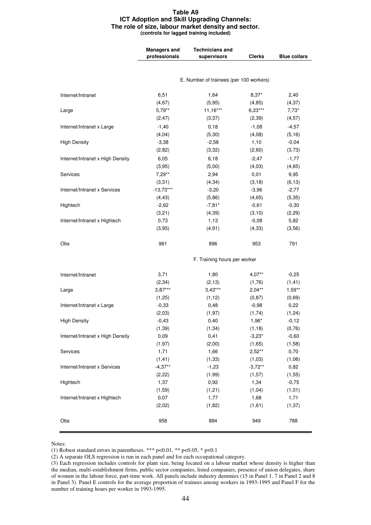#### **Table A9 ICT Adoption and Skill Upgrading Channels: The role of size, labour market density and sector. (controls for lagged training included)**

|                                  | <b>Managers and</b><br>professionals | <b>Technicians and</b><br>supervisors   | <b>Clerks</b> | <b>Blue collars</b> |
|----------------------------------|--------------------------------------|-----------------------------------------|---------------|---------------------|
|                                  |                                      |                                         |               |                     |
|                                  |                                      | E. Number of trainees (per 100 workers) |               |                     |
| Internet/Intranet                | 6,51                                 | 1,64                                    | $8,37*$       | 2,40                |
|                                  | (4, 67)                              | (5, 95)                                 | (4, 85)       | (4, 37)             |
| Large                            | $5,79**$                             | $11,16***$                              | $6,23***$     | $7,73*$             |
|                                  | (2, 47)                              | (3, 37)                                 | (2, 39)       | (4, 57)             |
| Internet/Intranet x Large        | $-1,40$                              | 0, 18                                   | $-1,08$       | $-4,57$             |
|                                  | (4, 04)                              | (5, 30)                                 | (4,08)        | (5, 16)             |
| <b>High Density</b>              | $-3,38$                              | $-2,58$                                 | 1,10          | $-0,04$             |
|                                  | (2,82)                               | (3,32)                                  | (2,60)        | (3,73)              |
| Internet/Intranet x High Density | 6,05                                 | 6,18                                    | $-2,47$       | $-1,77$             |
|                                  | (3,95)                               | (5,00)                                  | (4,03)        | (4, 65)             |
| Services                         | $7,29**$                             | 2,94                                    | 0,01          | 9,95                |
|                                  | (3,31)                               | (4, 34)                                 | (3, 18)       | (6, 13)             |
| Internet/Intranet x Services     | $-13,73***$                          | $-3,20$                                 | $-3,96$       | $-2,77$             |
|                                  | (4, 43)                              | (5, 86)                                 | (4, 65)       | (5, 35)             |
| Hightech                         | $-2,62$                              | $-7,81*$                                | $-0,61$       | $-0,30$             |
|                                  | (3,21)                               | (4, 39)                                 | (3, 10)       | (2, 29)             |
| Internet/Intranet x Hightech     | 0,73                                 | 1,13                                    | $-0,08$       | 5,82                |
|                                  | (3,95)                               | (4, 91)                                 | (4, 33)       | (3, 56)             |
| Obs                              | 961                                  | 896                                     | 953           | 791                 |
|                                  |                                      | F. Training hours per worker            |               |                     |
| Internet/Intranet                | 3,71                                 | 1,80                                    | $4,07***$     | $-0,25$             |
|                                  | (2, 34)                              | (2, 13)                                 | (1,76)        | (1, 41)             |
| Large                            | $3,87***$                            | $3,43***$                               | $2,04***$     | $1,59**$            |
|                                  | (1,25)                               | (1, 12)                                 | (0, 87)       | (0,69)              |
| Internet/Intranet x Large        | $-0,33$                              | 0,48                                    | $-0,98$       | 0,22                |
|                                  | (2,03)                               | (1, 97)                                 | (1, 74)       | (1, 24)             |
| <b>High Density</b>              | $-0,43$                              | 0,40                                    | 1,96*         | $-0,12$             |
|                                  | (1, 39)                              | (1, 34)                                 | (1, 18)       | (0, 76)             |
| Internet/Intranet x High Density | 0,09                                 | 0,41                                    | $-3,23*$      | $-0,60$             |
|                                  | (1, 97)                              | (2,00)                                  | (1,65)        | (1,58)              |
| Services                         | 1,71                                 | 1,66                                    | $2,52**$      | 0,70                |
|                                  | (1, 41)                              | (1, 33)                                 | (1,03)        | (1,06)              |
| Internet/Intranet x Services     | $-4,37**$                            | $-1,23$                                 | $-3,72**$     | 0,82                |
|                                  | (2, 22)                              | (1, 99)                                 | (1,57)        | (1, 55)             |
| Hightech                         | 1,37                                 | 0,92                                    | 1,34          | $-0,75$             |
|                                  | (1,59)                               | (1, 21)                                 | (1, 04)       | (1, 01)             |
| Internet/Intranet x Hightech     | 0,07                                 | 1,77                                    | 1,68          | 1,71                |
|                                  | (2,02)                               | (1,82)                                  | (1,61)        | (1, 37)             |
| Obs                              | 958                                  | 884                                     | 949           | 788                 |

Notes:

(1) Robust standard errors in parentheses. \*\*\* p<0.01, \*\* p<0.05, \* p<0.1

(2) A separate OLS regression is run in each panel and for each occupational category.

<sup>(3)</sup> Each regression includes controls for plant size, being located on a labour market whose density is higher than the median, multi-establishment firms, public sector companies, listed companies, presence of union delegates, share of women in the labour force, part-time work. All panels include industry dummies (15 in Panel 1, 7 in Panel 2 and 8 in Panel 3). Panel E controls for the average proportion of trainees among workers in 1993-1995 and Panel F for the number of training hours per worker in 1993-1995.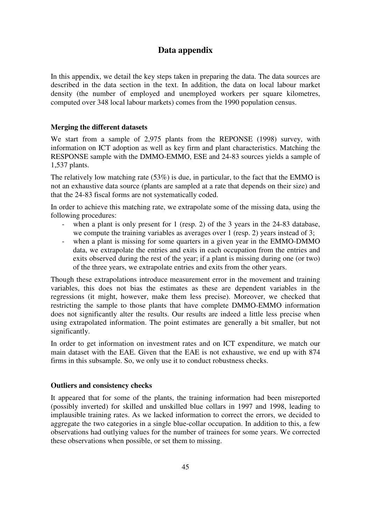# **Data appendix**

In this appendix, we detail the key steps taken in preparing the data. The data sources are described in the data section in the text. In addition, the data on local labour market density (the number of employed and unemployed workers per square kilometres, computed over 348 local labour markets) comes from the 1990 population census.

## **Merging the different datasets**

We start from a sample of 2,975 plants from the REPONSE (1998) survey, with information on ICT adoption as well as key firm and plant characteristics. Matching the RESPONSE sample with the DMMO-EMMO, ESE and 24-83 sources yields a sample of 1,537 plants.

The relatively low matching rate (53%) is due, in particular, to the fact that the EMMO is not an exhaustive data source (plants are sampled at a rate that depends on their size) and that the 24-83 fiscal forms are not systematically coded.

In order to achieve this matching rate, we extrapolate some of the missing data, using the following procedures:

- when a plant is only present for 1 (resp. 2) of the 3 years in the  $24-83$  database, we compute the training variables as averages over 1 (resp. 2) years instead of 3;
- when a plant is missing for some quarters in a given year in the EMMO-DMMO data, we extrapolate the entries and exits in each occupation from the entries and exits observed during the rest of the year; if a plant is missing during one (or two) of the three years, we extrapolate entries and exits from the other years.

Though these extrapolations introduce measurement error in the movement and training variables, this does not bias the estimates as these are dependent variables in the regressions (it might, however, make them less precise). Moreover, we checked that restricting the sample to those plants that have complete DMMO-EMMO information does not significantly alter the results. Our results are indeed a little less precise when using extrapolated information. The point estimates are generally a bit smaller, but not significantly.

In order to get information on investment rates and on ICT expenditure, we match our main dataset with the EAE. Given that the EAE is not exhaustive, we end up with 874 firms in this subsample. So, we only use it to conduct robustness checks.

## **Outliers and consistency checks**

It appeared that for some of the plants, the training information had been misreported (possibly inverted) for skilled and unskilled blue collars in 1997 and 1998, leading to implausible training rates. As we lacked information to correct the errors, we decided to aggregate the two categories in a single blue-collar occupation. In addition to this, a few observations had outlying values for the number of trainees for some years. We corrected these observations when possible, or set them to missing.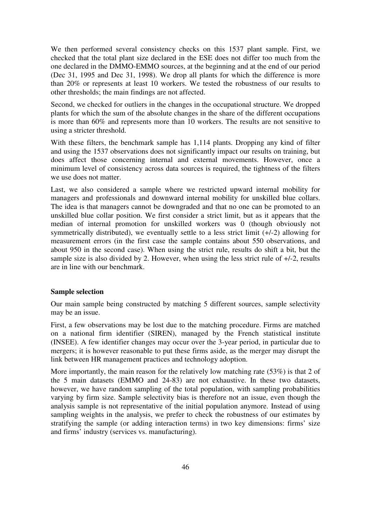We then performed several consistency checks on this 1537 plant sample. First, we checked that the total plant size declared in the ESE does not differ too much from the one declared in the DMMO-EMMO sources, at the beginning and at the end of our period (Dec 31, 1995 and Dec 31, 1998). We drop all plants for which the difference is more than 20% or represents at least 10 workers. We tested the robustness of our results to other thresholds; the main findings are not affected.

Second, we checked for outliers in the changes in the occupational structure. We dropped plants for which the sum of the absolute changes in the share of the different occupations is more than 60% and represents more than 10 workers. The results are not sensitive to using a stricter threshold.

With these filters, the benchmark sample has 1,114 plants. Dropping any kind of filter and using the 1537 observations does not significantly impact our results on training, but does affect those concerning internal and external movements. However, once a minimum level of consistency across data sources is required, the tightness of the filters we use does not matter.

Last, we also considered a sample where we restricted upward internal mobility for managers and professionals and downward internal mobility for unskilled blue collars. The idea is that managers cannot be downgraded and that no one can be promoted to an unskilled blue collar position. We first consider a strict limit, but as it appears that the median of internal promotion for unskilled workers was 0 (though obviously not symmetrically distributed), we eventually settle to a less strict limit (+/-2) allowing for measurement errors (in the first case the sample contains about 550 observations, and about 950 in the second case). When using the strict rule, results do shift a bit, but the sample size is also divided by 2. However, when using the less strict rule of +/-2, results are in line with our benchmark.

### **Sample selection**

Our main sample being constructed by matching 5 different sources, sample selectivity may be an issue.

First, a few observations may be lost due to the matching procedure. Firms are matched on a national firm identifier (SIREN), managed by the French statistical institute (INSEE). A few identifier changes may occur over the 3-year period, in particular due to mergers; it is however reasonable to put these firms aside, as the merger may disrupt the link between HR management practices and technology adoption.

More importantly, the main reason for the relatively low matching rate (53%) is that 2 of the 5 main datasets (EMMO and 24-83) are not exhaustive. In these two datasets, however, we have random sampling of the total population, with sampling probabilities varying by firm size. Sample selectivity bias is therefore not an issue, even though the analysis sample is not representative of the initial population anymore. Instead of using sampling weights in the analysis, we prefer to check the robustness of our estimates by stratifying the sample (or adding interaction terms) in two key dimensions: firms' size and firms' industry (services vs. manufacturing).